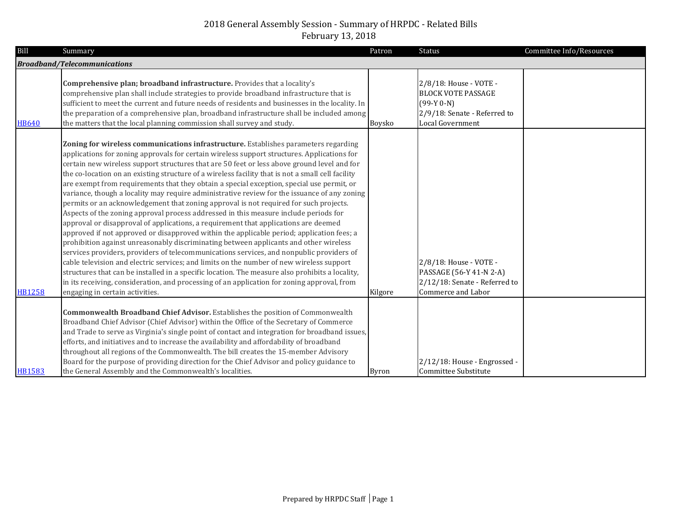| <b>Bill</b>   | Summary                                                                                                                                                                                                                                                                                                                                                                                                                                                                                                                                                                                                                                                                                                                                                                                                                                                                                                                                                                                                                                                                                                                                                                                                                                                                                                                                                                                                                                                                        | Patron        | Status                                                                                                                  | Committee Info/Resources |
|---------------|--------------------------------------------------------------------------------------------------------------------------------------------------------------------------------------------------------------------------------------------------------------------------------------------------------------------------------------------------------------------------------------------------------------------------------------------------------------------------------------------------------------------------------------------------------------------------------------------------------------------------------------------------------------------------------------------------------------------------------------------------------------------------------------------------------------------------------------------------------------------------------------------------------------------------------------------------------------------------------------------------------------------------------------------------------------------------------------------------------------------------------------------------------------------------------------------------------------------------------------------------------------------------------------------------------------------------------------------------------------------------------------------------------------------------------------------------------------------------------|---------------|-------------------------------------------------------------------------------------------------------------------------|--------------------------|
|               | <b>Broadband/Telecommunications</b>                                                                                                                                                                                                                                                                                                                                                                                                                                                                                                                                                                                                                                                                                                                                                                                                                                                                                                                                                                                                                                                                                                                                                                                                                                                                                                                                                                                                                                            |               |                                                                                                                         |                          |
| <b>HB640</b>  | Comprehensive plan; broadband infrastructure. Provides that a locality's<br>comprehensive plan shall include strategies to provide broadband infrastructure that is<br>sufficient to meet the current and future needs of residents and businesses in the locality. In<br>the preparation of a comprehensive plan, broadband infrastructure shall be included among<br>the matters that the local planning commission shall survey and study.                                                                                                                                                                                                                                                                                                                                                                                                                                                                                                                                                                                                                                                                                                                                                                                                                                                                                                                                                                                                                                  | <b>Boysko</b> | 2/8/18: House - VOTE -<br><b>BLOCK VOTE PASSAGE</b><br>$(99-Y 0-N)$<br>2/9/18: Senate - Referred to<br>Local Government |                          |
| <b>HB1258</b> | Zoning for wireless communications infrastructure. Establishes parameters regarding<br>applications for zoning approvals for certain wireless support structures. Applications for<br>certain new wireless support structures that are 50 feet or less above ground level and for<br>the co-location on an existing structure of a wireless facility that is not a small cell facility<br>are exempt from requirements that they obtain a special exception, special use permit, or<br>variance, though a locality may require administrative review for the issuance of any zoning<br>permits or an acknowledgement that zoning approval is not required for such projects.<br>Aspects of the zoning approval process addressed in this measure include periods for<br>approval or disapproval of applications, a requirement that applications are deemed<br>approved if not approved or disapproved within the applicable period; application fees; a<br>prohibition against unreasonably discriminating between applicants and other wireless<br>services providers, providers of telecommunications services, and nonpublic providers of<br>cable television and electric services; and limits on the number of new wireless support<br>structures that can be installed in a specific location. The measure also prohibits a locality,<br>in its receiving, consideration, and processing of an application for zoning approval, from<br>engaging in certain activities. | Kilgore       | 2/8/18: House - VOTE -<br>PASSAGE (56-Y 41-N 2-A)<br>2/12/18: Senate - Referred to<br>Commerce and Labor                |                          |
| <b>HB1583</b> | <b>Commonwealth Broadband Chief Advisor.</b> Establishes the position of Commonwealth<br>Broadband Chief Advisor (Chief Advisor) within the Office of the Secretary of Commerce<br>and Trade to serve as Virginia's single point of contact and integration for broadband issues,<br>efforts, and initiatives and to increase the availability and affordability of broadband<br>throughout all regions of the Commonwealth. The bill creates the 15-member Advisory<br>Board for the purpose of providing direction for the Chief Advisor and policy guidance to<br>the General Assembly and the Commonwealth's localities.                                                                                                                                                                                                                                                                                                                                                                                                                                                                                                                                                                                                                                                                                                                                                                                                                                                   | <b>Byron</b>  | 2/12/18: House - Engrossed -<br>Committee Substitute                                                                    |                          |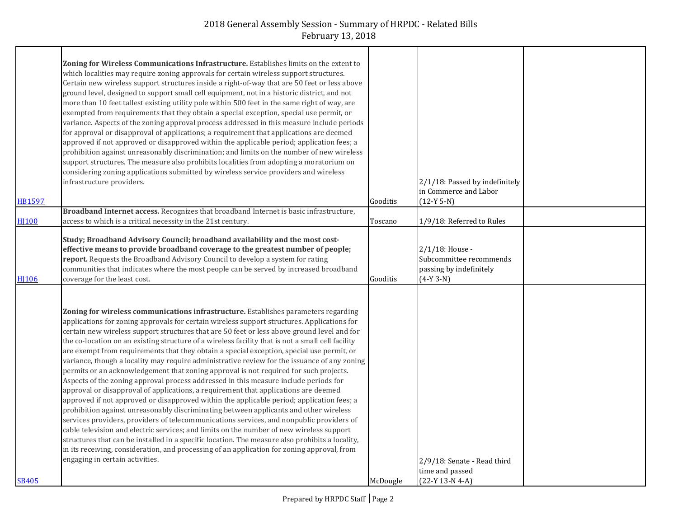|                  | Zoning for Wireless Communications Infrastructure. Establishes limits on the extent to<br>which localities may require zoning approvals for certain wireless support structures.<br>Certain new wireless support structures inside a right-of-way that are 50 feet or less above<br>ground level, designed to support small cell equipment, not in a historic district, and not<br>more than 10 feet tallest existing utility pole within 500 feet in the same right of way, are                                                                                                                                                                                                                                                                                                                                                                                                                                                                                                                                                                                                                                                                                                                                                                                                                                                                                                                                                                                               |          |                                                                                      |  |
|------------------|--------------------------------------------------------------------------------------------------------------------------------------------------------------------------------------------------------------------------------------------------------------------------------------------------------------------------------------------------------------------------------------------------------------------------------------------------------------------------------------------------------------------------------------------------------------------------------------------------------------------------------------------------------------------------------------------------------------------------------------------------------------------------------------------------------------------------------------------------------------------------------------------------------------------------------------------------------------------------------------------------------------------------------------------------------------------------------------------------------------------------------------------------------------------------------------------------------------------------------------------------------------------------------------------------------------------------------------------------------------------------------------------------------------------------------------------------------------------------------|----------|--------------------------------------------------------------------------------------|--|
|                  | exempted from requirements that they obtain a special exception, special use permit, or<br>variance. Aspects of the zoning approval process addressed in this measure include periods<br>for approval or disapproval of applications; a requirement that applications are deemed<br>approved if not approved or disapproved within the applicable period; application fees; a<br>prohibition against unreasonably discrimination; and limits on the number of new wireless<br>support structures. The measure also prohibits localities from adopting a moratorium on<br>considering zoning applications submitted by wireless service providers and wireless                                                                                                                                                                                                                                                                                                                                                                                                                                                                                                                                                                                                                                                                                                                                                                                                                  |          | 2/1/18: Passed by indefinitely                                                       |  |
| <b>HB1597</b>    | infrastructure providers.                                                                                                                                                                                                                                                                                                                                                                                                                                                                                                                                                                                                                                                                                                                                                                                                                                                                                                                                                                                                                                                                                                                                                                                                                                                                                                                                                                                                                                                      | Gooditis | in Commerce and Labor<br>$(12-Y 5-N)$                                                |  |
|                  | Broadband Internet access. Recognizes that broadband Internet is basic infrastructure,                                                                                                                                                                                                                                                                                                                                                                                                                                                                                                                                                                                                                                                                                                                                                                                                                                                                                                                                                                                                                                                                                                                                                                                                                                                                                                                                                                                         |          |                                                                                      |  |
| H <sub>100</sub> | access to which is a critical necessity in the 21st century.                                                                                                                                                                                                                                                                                                                                                                                                                                                                                                                                                                                                                                                                                                                                                                                                                                                                                                                                                                                                                                                                                                                                                                                                                                                                                                                                                                                                                   | Toscano  | 1/9/18: Referred to Rules                                                            |  |
| HI106            | Study; Broadband Advisory Council; broadband availability and the most cost-<br>effective means to provide broadband coverage to the greatest number of people;<br>report. Requests the Broadband Advisory Council to develop a system for rating<br>communities that indicates where the most people can be served by increased broadband<br>coverage for the least cost.                                                                                                                                                                                                                                                                                                                                                                                                                                                                                                                                                                                                                                                                                                                                                                                                                                                                                                                                                                                                                                                                                                     | Gooditis | 2/1/18: House -<br>Subcommittee recommends<br>passing by indefinitely<br>$(4-Y 3-N)$ |  |
| SB405            | Zoning for wireless communications infrastructure. Establishes parameters regarding<br>applications for zoning approvals for certain wireless support structures. Applications for<br>certain new wireless support structures that are 50 feet or less above ground level and for<br>the co-location on an existing structure of a wireless facility that is not a small cell facility<br>are exempt from requirements that they obtain a special exception, special use permit, or<br>variance, though a locality may require administrative review for the issuance of any zoning<br>permits or an acknowledgement that zoning approval is not required for such projects.<br>Aspects of the zoning approval process addressed in this measure include periods for<br>approval or disapproval of applications, a requirement that applications are deemed<br>approved if not approved or disapproved within the applicable period; application fees; a<br>prohibition against unreasonably discriminating between applicants and other wireless<br>services providers, providers of telecommunications services, and nonpublic providers of<br>cable television and electric services; and limits on the number of new wireless support<br>structures that can be installed in a specific location. The measure also prohibits a locality,<br>in its receiving, consideration, and processing of an application for zoning approval, from<br>engaging in certain activities. | McDougle | 2/9/18: Senate - Read third<br>time and passed<br>(22-Y 13-N 4-A)                    |  |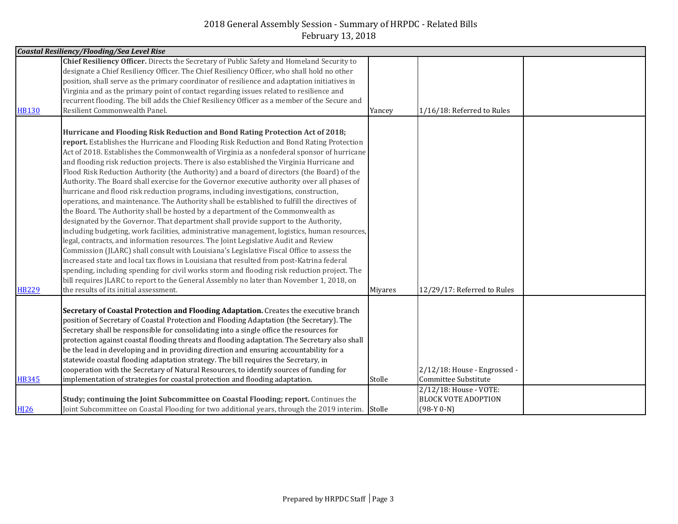|              | <b>Coastal Resiliency/Flooding/Sea Level Rise</b>                                             |         |                              |  |
|--------------|-----------------------------------------------------------------------------------------------|---------|------------------------------|--|
|              | Chief Resiliency Officer. Directs the Secretary of Public Safety and Homeland Security to     |         |                              |  |
|              | designate a Chief Resiliency Officer. The Chief Resiliency Officer, who shall hold no other   |         |                              |  |
|              | position, shall serve as the primary coordinator of resilience and adaptation initiatives in  |         |                              |  |
|              | Virginia and as the primary point of contact regarding issues related to resilience and       |         |                              |  |
|              | recurrent flooding. The bill adds the Chief Resiliency Officer as a member of the Secure and  |         |                              |  |
| <b>HB130</b> | Resilient Commonwealth Panel.                                                                 | Yancey  | 1/16/18: Referred to Rules   |  |
|              |                                                                                               |         |                              |  |
|              | Hurricane and Flooding Risk Reduction and Bond Rating Protection Act of 2018;                 |         |                              |  |
|              | report. Establishes the Hurricane and Flooding Risk Reduction and Bond Rating Protection      |         |                              |  |
|              | Act of 2018. Establishes the Commonwealth of Virginia as a nonfederal sponsor of hurricane    |         |                              |  |
|              | and flooding risk reduction projects. There is also established the Virginia Hurricane and    |         |                              |  |
|              | Flood Risk Reduction Authority (the Authority) and a board of directors (the Board) of the    |         |                              |  |
|              | Authority. The Board shall exercise for the Governor executive authority over all phases of   |         |                              |  |
|              | hurricane and flood risk reduction programs, including investigations, construction,          |         |                              |  |
|              | operations, and maintenance. The Authority shall be established to fulfill the directives of  |         |                              |  |
|              | the Board. The Authority shall be hosted by a department of the Commonwealth as               |         |                              |  |
|              | designated by the Governor. That department shall provide support to the Authority,           |         |                              |  |
|              | including budgeting, work facilities, administrative management, logistics, human resources,  |         |                              |  |
|              | legal, contracts, and information resources. The Joint Legislative Audit and Review           |         |                              |  |
|              | Commission (JLARC) shall consult with Louisiana's Legislative Fiscal Office to assess the     |         |                              |  |
|              | increased state and local tax flows in Louisiana that resulted from post-Katrina federal      |         |                              |  |
|              | spending, including spending for civil works storm and flooding risk reduction project. The   |         |                              |  |
|              | bill requires JLARC to report to the General Assembly no later than November 1, 2018, on      |         |                              |  |
| <b>HB229</b> | the results of its initial assessment.                                                        | Miyares | 12/29/17: Referred to Rules  |  |
|              |                                                                                               |         |                              |  |
|              | Secretary of Coastal Protection and Flooding Adaptation. Creates the executive branch         |         |                              |  |
|              | position of Secretary of Coastal Protection and Flooding Adaptation (the Secretary). The      |         |                              |  |
|              | Secretary shall be responsible for consolidating into a single office the resources for       |         |                              |  |
|              | protection against coastal flooding threats and flooding adaptation. The Secretary also shall |         |                              |  |
|              | be the lead in developing and in providing direction and ensuring accountability for a        |         |                              |  |
|              | statewide coastal flooding adaptation strategy. The bill requires the Secretary, in           |         |                              |  |
|              | cooperation with the Secretary of Natural Resources, to identify sources of funding for       |         | 2/12/18: House - Engrossed - |  |
| <b>HB345</b> | implementation of strategies for coastal protection and flooding adaptation.                  | Stolle  | Committee Substitute         |  |
|              |                                                                                               |         | 2/12/18: House - VOTE:       |  |
|              | Study; continuing the Joint Subcommittee on Coastal Flooding; report. Continues the           |         | <b>BLOCK VOTE ADOPTION</b>   |  |
| <b>HI26</b>  | Joint Subcommittee on Coastal Flooding for two additional years, through the 2019 interim.    | Stolle  | $(98-Y 0-N)$                 |  |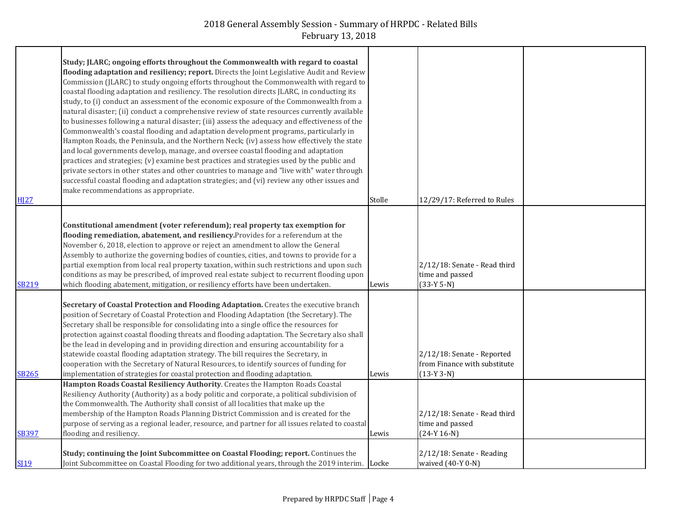|              | Study; JLARC; ongoing efforts throughout the Commonwealth with regard to coastal                 |        |                              |  |
|--------------|--------------------------------------------------------------------------------------------------|--------|------------------------------|--|
|              | flooding adaptation and resiliency; report. Directs the Joint Legislative Audit and Review       |        |                              |  |
|              | Commission (JLARC) to study ongoing efforts throughout the Commonwealth with regard to           |        |                              |  |
|              | coastal flooding adaptation and resiliency. The resolution directs JLARC, in conducting its      |        |                              |  |
|              | study, to (i) conduct an assessment of the economic exposure of the Commonwealth from a          |        |                              |  |
|              |                                                                                                  |        |                              |  |
|              | natural disaster; (ii) conduct a comprehensive review of state resources currently available     |        |                              |  |
|              | to businesses following a natural disaster; (iii) assess the adequacy and effectiveness of the   |        |                              |  |
|              | Commonwealth's coastal flooding and adaptation development programs, particularly in             |        |                              |  |
|              | Hampton Roads, the Peninsula, and the Northern Neck; (iv) assess how effectively the state       |        |                              |  |
|              | and local governments develop, manage, and oversee coastal flooding and adaptation               |        |                              |  |
|              | practices and strategies; (v) examine best practices and strategies used by the public and       |        |                              |  |
|              | private sectors in other states and other countries to manage and "live with" water through      |        |                              |  |
|              | successful coastal flooding and adaptation strategies; and (vi) review any other issues and      |        |                              |  |
|              | make recommendations as appropriate.                                                             |        |                              |  |
| <b>HJ27</b>  |                                                                                                  | Stolle | 12/29/17: Referred to Rules  |  |
|              |                                                                                                  |        |                              |  |
|              | Constitutional amendment (voter referendum); real property tax exemption for                     |        |                              |  |
|              | flooding remediation, abatement, and resiliency. Provides for a referendum at the                |        |                              |  |
|              | November 6, 2018, election to approve or reject an amendment to allow the General                |        |                              |  |
|              | Assembly to authorize the governing bodies of counties, cities, and towns to provide for a       |        |                              |  |
|              | partial exemption from local real property taxation, within such restrictions and upon such      |        | 2/12/18: Senate - Read third |  |
|              | conditions as may be prescribed, of improved real estate subject to recurrent flooding upon      |        | time and passed              |  |
| <b>SB219</b> | which flooding abatement, mitigation, or resiliency efforts have been undertaken.                | Lewis  | $(33-Y 5-N)$                 |  |
|              |                                                                                                  |        |                              |  |
|              | Secretary of Coastal Protection and Flooding Adaptation. Creates the executive branch            |        |                              |  |
|              | position of Secretary of Coastal Protection and Flooding Adaptation (the Secretary). The         |        |                              |  |
|              | Secretary shall be responsible for consolidating into a single office the resources for          |        |                              |  |
|              | protection against coastal flooding threats and flooding adaptation. The Secretary also shall    |        |                              |  |
|              | be the lead in developing and in providing direction and ensuring accountability for a           |        |                              |  |
|              | statewide coastal flooding adaptation strategy. The bill requires the Secretary, in              |        | 2/12/18: Senate - Reported   |  |
|              | cooperation with the Secretary of Natural Resources, to identify sources of funding for          |        | from Finance with substitute |  |
| <b>SB265</b> | implementation of strategies for coastal protection and flooding adaptation.                     | Lewis  | $(13-Y3-N)$                  |  |
|              | Hampton Roads Coastal Resiliency Authority. Creates the Hampton Roads Coastal                    |        |                              |  |
|              | Resiliency Authority (Authority) as a body politic and corporate, a political subdivision of     |        |                              |  |
|              | the Commonwealth. The Authority shall consist of all localities that make up the                 |        |                              |  |
|              | membership of the Hampton Roads Planning District Commission and is created for the              |        | 2/12/18: Senate - Read third |  |
|              | purpose of serving as a regional leader, resource, and partner for all issues related to coastal |        | time and passed              |  |
| <b>SB397</b> | flooding and resiliency.                                                                         | Lewis  | $(24-Y 16-N)$                |  |
|              |                                                                                                  |        |                              |  |
|              | Study; continuing the Joint Subcommittee on Coastal Flooding; report. Continues the              |        | 2/12/18: Senate - Reading    |  |
| <b>SI19</b>  | Joint Subcommittee on Coastal Flooding for two additional years, through the 2019 interim. Locke |        | waived (40-Y 0-N)            |  |
|              |                                                                                                  |        |                              |  |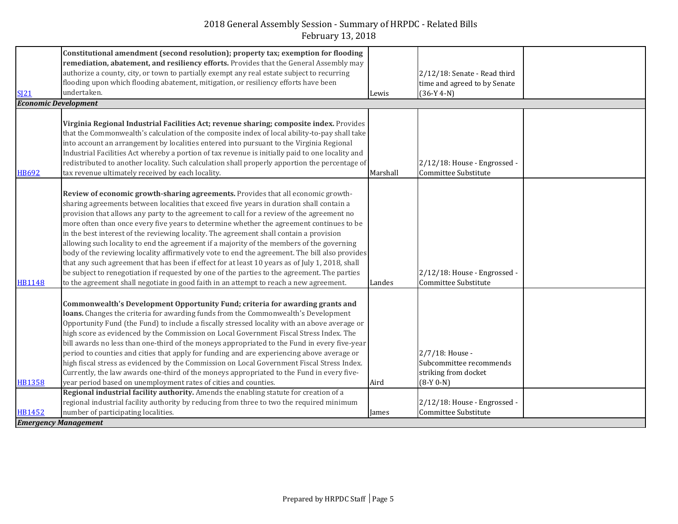|                             | Constitutional amendment (second resolution); property tax; exemption for flooding               |          |                              |  |
|-----------------------------|--------------------------------------------------------------------------------------------------|----------|------------------------------|--|
|                             | remediation, abatement, and resiliency efforts. Provides that the General Assembly may           |          |                              |  |
|                             | authorize a county, city, or town to partially exempt any real estate subject to recurring       |          | 2/12/18: Senate - Read third |  |
|                             | flooding upon which flooding abatement, mitigation, or resiliency efforts have been              |          | time and agreed to by Senate |  |
| S121                        | undertaken.                                                                                      | Lewis    | $(36-Y 4-N)$                 |  |
| <b>Economic Development</b> |                                                                                                  |          |                              |  |
|                             |                                                                                                  |          |                              |  |
|                             | Virginia Regional Industrial Facilities Act; revenue sharing; composite index. Provides          |          |                              |  |
|                             | that the Commonwealth's calculation of the composite index of local ability-to-pay shall take    |          |                              |  |
|                             | into account an arrangement by localities entered into pursuant to the Virginia Regional         |          |                              |  |
|                             | Industrial Facilities Act whereby a portion of tax revenue is initially paid to one locality and |          |                              |  |
|                             | redistributed to another locality. Such calculation shall properly apportion the percentage of   |          | 2/12/18: House - Engrossed - |  |
| <b>HB692</b>                | tax revenue ultimately received by each locality.                                                | Marshall | Committee Substitute         |  |
|                             |                                                                                                  |          |                              |  |
|                             | Review of economic growth-sharing agreements. Provides that all economic growth-                 |          |                              |  |
|                             | sharing agreements between localities that exceed five years in duration shall contain a         |          |                              |  |
|                             | provision that allows any party to the agreement to call for a review of the agreement no        |          |                              |  |
|                             | more often than once every five years to determine whether the agreement continues to be         |          |                              |  |
|                             | in the best interest of the reviewing locality. The agreement shall contain a provision          |          |                              |  |
|                             | allowing such locality to end the agreement if a majority of the members of the governing        |          |                              |  |
|                             | body of the reviewing locality affirmatively vote to end the agreement. The bill also provides   |          |                              |  |
|                             | that any such agreement that has been if effect for at least 10 years as of July 1, 2018, shall  |          |                              |  |
|                             | be subject to renegotiation if requested by one of the parties to the agreement. The parties     |          | 2/12/18: House - Engrossed   |  |
| <b>HB1148</b>               | to the agreement shall negotiate in good faith in an attempt to reach a new agreement.           | Landes   | Committee Substitute         |  |
|                             |                                                                                                  |          |                              |  |
|                             | Commonwealth's Development Opportunity Fund; criteria for awarding grants and                    |          |                              |  |
|                             | loans. Changes the criteria for awarding funds from the Commonwealth's Development               |          |                              |  |
|                             | Opportunity Fund (the Fund) to include a fiscally stressed locality with an above average or     |          |                              |  |
|                             | high score as evidenced by the Commission on Local Government Fiscal Stress Index. The           |          |                              |  |
|                             | bill awards no less than one-third of the moneys appropriated to the Fund in every five-year     |          |                              |  |
|                             | period to counties and cities that apply for funding and are experiencing above average or       |          | 2/7/18: House -              |  |
|                             | high fiscal stress as evidenced by the Commission on Local Government Fiscal Stress Index.       |          | Subcommittee recommends      |  |
|                             | Currently, the law awards one-third of the moneys appropriated to the Fund in every five-        |          | striking from docket         |  |
| <b>HB1358</b>               | year period based on unemployment rates of cities and counties.                                  | Aird     | $(8-Y 0-N)$                  |  |
|                             | Regional industrial facility authority. Amends the enabling statute for creation of a            |          |                              |  |
|                             | regional industrial facility authority by reducing from three to two the required minimum        |          | 2/12/18: House - Engrossed - |  |
| HB1452                      | number of participating localities.                                                              | James    | Committee Substitute         |  |
| <b>Emergency Management</b> |                                                                                                  |          |                              |  |
|                             |                                                                                                  |          |                              |  |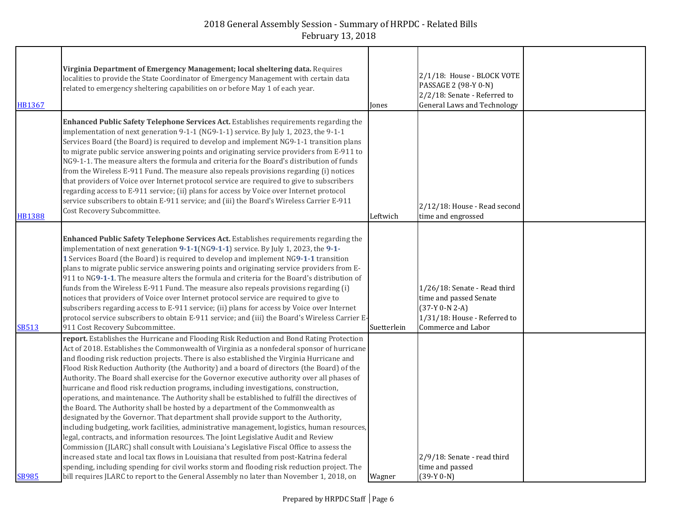| HB1367        | Virginia Department of Emergency Management; local sheltering data. Requires<br>localities to provide the State Coordinator of Emergency Management with certain data<br>related to emergency sheltering capabilities on or before May 1 of each year.                                                                                                                                                                                                                                                                                                                                                                                                                                                                                                                                                                                                                                                                                                                                                                                                                                                                                                                                                                                                                                                                                                                                                                         | Jones       | 2/1/18: House - BLOCK VOTE<br>PASSAGE 2 (98-Y 0-N)<br>2/2/18: Senate - Referred to<br><b>General Laws and Technology</b>         |  |
|---------------|--------------------------------------------------------------------------------------------------------------------------------------------------------------------------------------------------------------------------------------------------------------------------------------------------------------------------------------------------------------------------------------------------------------------------------------------------------------------------------------------------------------------------------------------------------------------------------------------------------------------------------------------------------------------------------------------------------------------------------------------------------------------------------------------------------------------------------------------------------------------------------------------------------------------------------------------------------------------------------------------------------------------------------------------------------------------------------------------------------------------------------------------------------------------------------------------------------------------------------------------------------------------------------------------------------------------------------------------------------------------------------------------------------------------------------|-------------|----------------------------------------------------------------------------------------------------------------------------------|--|
| <b>HB1388</b> | Enhanced Public Safety Telephone Services Act. Establishes requirements regarding the<br>implementation of next generation 9-1-1 (NG9-1-1) service. By July 1, 2023, the 9-1-1<br>Services Board (the Board) is required to develop and implement NG9-1-1 transition plans<br>to migrate public service answering points and originating service providers from E-911 to<br>NG9-1-1. The measure alters the formula and criteria for the Board's distribution of funds<br>from the Wireless E-911 Fund. The measure also repeals provisions regarding (i) notices<br>that providers of Voice over Internet protocol service are required to give to subscribers<br>regarding access to E-911 service; (ii) plans for access by Voice over Internet protocol<br>service subscribers to obtain E-911 service; and (iii) the Board's Wireless Carrier E-911<br>Cost Recovery Subcommittee.                                                                                                                                                                                                                                                                                                                                                                                                                                                                                                                                        | Leftwich    | 2/12/18: House - Read second<br>time and engrossed                                                                               |  |
| <b>SB513</b>  | Enhanced Public Safety Telephone Services Act. Establishes requirements regarding the<br>implementation of next generation 9-1-1(NG9-1-1) service. By July 1, 2023, the 9-1-<br>1 Services Board (the Board) is required to develop and implement NG9-1-1 transition<br>plans to migrate public service answering points and originating service providers from E-<br>911 to NG9-1-1. The measure alters the formula and criteria for the Board's distribution of<br>funds from the Wireless E-911 Fund. The measure also repeals provisions regarding (i)<br>notices that providers of Voice over Internet protocol service are required to give to<br>subscribers regarding access to E-911 service; (ii) plans for access by Voice over Internet<br>protocol service subscribers to obtain E-911 service; and (iii) the Board's Wireless Carrier E-<br>911 Cost Recovery Subcommittee.                                                                                                                                                                                                                                                                                                                                                                                                                                                                                                                                      | Suetterlein | 1/26/18: Senate - Read third<br>time and passed Senate<br>$(37-Y 0-N 2-A)$<br>1/31/18: House - Referred to<br>Commerce and Labor |  |
| <b>SB985</b>  | report. Establishes the Hurricane and Flooding Risk Reduction and Bond Rating Protection<br>Act of 2018. Establishes the Commonwealth of Virginia as a nonfederal sponsor of hurricane<br>and flooding risk reduction projects. There is also established the Virginia Hurricane and<br>Flood Risk Reduction Authority (the Authority) and a board of directors (the Board) of the<br>Authority. The Board shall exercise for the Governor executive authority over all phases of<br>hurricane and flood risk reduction programs, including investigations, construction,<br>operations, and maintenance. The Authority shall be established to fulfill the directives of<br>the Board. The Authority shall be hosted by a department of the Commonwealth as<br>designated by the Governor. That department shall provide support to the Authority,<br>including budgeting, work facilities, administrative management, logistics, human resources,<br>legal, contracts, and information resources. The Joint Legislative Audit and Review<br>Commission (JLARC) shall consult with Louisiana's Legislative Fiscal Office to assess the<br>increased state and local tax flows in Louisiana that resulted from post-Katrina federal<br>spending, including spending for civil works storm and flooding risk reduction project. The<br>bill requires JLARC to report to the General Assembly no later than November 1, 2018, on | Wagner      | 2/9/18: Senate - read third<br>time and passed<br>$(39-Y 0-N)$                                                                   |  |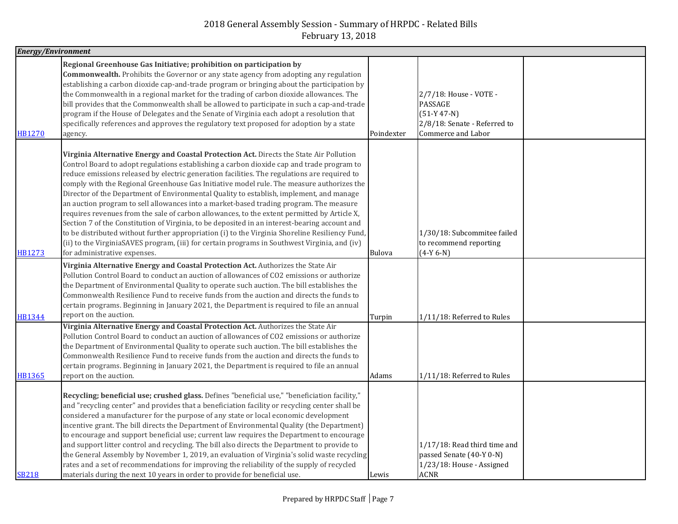|               | <b>Energy/Environment</b>                                                                                                                                                                                                                                                                                                                                                                                                                                                                                                                                                                                                                                                                                                                                                                                                                                                                                                                                                                                 |               |                                                                                                          |  |
|---------------|-----------------------------------------------------------------------------------------------------------------------------------------------------------------------------------------------------------------------------------------------------------------------------------------------------------------------------------------------------------------------------------------------------------------------------------------------------------------------------------------------------------------------------------------------------------------------------------------------------------------------------------------------------------------------------------------------------------------------------------------------------------------------------------------------------------------------------------------------------------------------------------------------------------------------------------------------------------------------------------------------------------|---------------|----------------------------------------------------------------------------------------------------------|--|
| <b>HB1270</b> | Regional Greenhouse Gas Initiative; prohibition on participation by<br><b>Commonwealth.</b> Prohibits the Governor or any state agency from adopting any regulation<br>establishing a carbon dioxide cap-and-trade program or bringing about the participation by<br>the Commonwealth in a regional market for the trading of carbon dioxide allowances. The<br>bill provides that the Commonwealth shall be allowed to participate in such a cap-and-trade<br>program if the House of Delegates and the Senate of Virginia each adopt a resolution that<br>specifically references and approves the regulatory text proposed for adoption by a state<br>agency.                                                                                                                                                                                                                                                                                                                                          | Poindexter    | 2/7/18: House - VOTE -<br>PASSAGE<br>$(51-Y 47-N)$<br>2/8/18: Senate - Referred to<br>Commerce and Labor |  |
| <b>HB1273</b> | Virginia Alternative Energy and Coastal Protection Act. Directs the State Air Pollution<br>Control Board to adopt regulations establishing a carbon dioxide cap and trade program to<br>reduce emissions released by electric generation facilities. The regulations are required to<br>comply with the Regional Greenhouse Gas Initiative model rule. The measure authorizes the<br>Director of the Department of Environmental Quality to establish, implement, and manage<br>an auction program to sell allowances into a market-based trading program. The measure<br>requires revenues from the sale of carbon allowances, to the extent permitted by Article X,<br>Section 7 of the Constitution of Virginia, to be deposited in an interest-bearing account and<br>to be distributed without further appropriation (i) to the Virginia Shoreline Resiliency Fund,<br>(ii) to the VirginiaSAVES program, (iii) for certain programs in Southwest Virginia, and (iv)<br>for administrative expenses. | <b>Bulova</b> | 1/30/18: Subcommitee failed<br>to recommend reporting<br>$(4-Y 6-N)$                                     |  |
| <b>HB1344</b> | Virginia Alternative Energy and Coastal Protection Act. Authorizes the State Air<br>Pollution Control Board to conduct an auction of allowances of CO2 emissions or authorize<br>the Department of Environmental Quality to operate such auction. The bill establishes the<br>Commonwealth Resilience Fund to receive funds from the auction and directs the funds to<br>certain programs. Beginning in January 2021, the Department is required to file an annual<br>report on the auction.                                                                                                                                                                                                                                                                                                                                                                                                                                                                                                              | Turpin        | 1/11/18: Referred to Rules                                                                               |  |
| <b>HB1365</b> | Virginia Alternative Energy and Coastal Protection Act. Authorizes the State Air<br>Pollution Control Board to conduct an auction of allowances of CO2 emissions or authorize<br>the Department of Environmental Quality to operate such auction. The bill establishes the<br>Commonwealth Resilience Fund to receive funds from the auction and directs the funds to<br>certain programs. Beginning in January 2021, the Department is required to file an annual<br>report on the auction.                                                                                                                                                                                                                                                                                                                                                                                                                                                                                                              | Adams         | 1/11/18: Referred to Rules                                                                               |  |
| <b>SB218</b>  | Recycling; beneficial use; crushed glass. Defines "beneficial use," "beneficiation facility,"<br>and "recycling center" and provides that a beneficiation facility or recycling center shall be<br>considered a manufacturer for the purpose of any state or local economic development<br>incentive grant. The bill directs the Department of Environmental Quality (the Department)<br>to encourage and support beneficial use; current law requires the Department to encourage<br>and support litter control and recycling. The bill also directs the Department to provide to<br>the General Assembly by November 1, 2019, an evaluation of Virginia's solid waste recycling<br>rates and a set of recommendations for improving the reliability of the supply of recycled<br>materials during the next 10 years in order to provide for beneficial use.                                                                                                                                             | Lewis         | 1/17/18: Read third time and<br>passed Senate (40-Y 0-N)<br>1/23/18: House - Assigned<br><b>ACNR</b>     |  |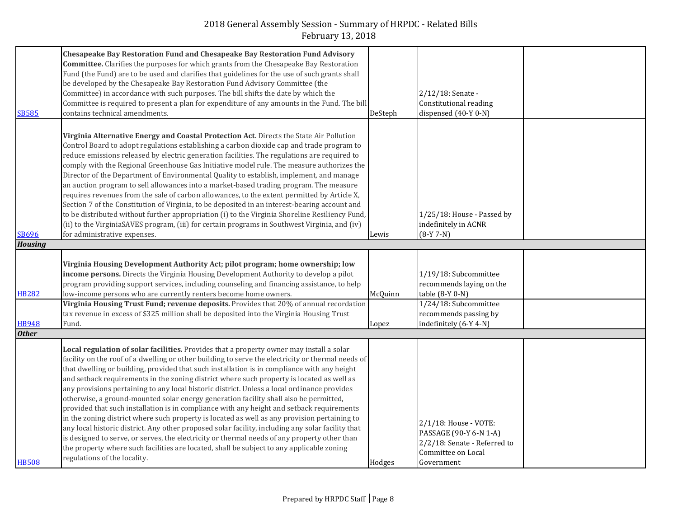|                | <b>Chesapeake Bay Restoration Fund and Chesapeake Bay Restoration Fund Advisory</b>               |         |                              |  |
|----------------|---------------------------------------------------------------------------------------------------|---------|------------------------------|--|
|                | <b>Committee.</b> Clarifies the purposes for which grants from the Chesapeake Bay Restoration     |         |                              |  |
|                | Fund (the Fund) are to be used and clarifies that guidelines for the use of such grants shall     |         |                              |  |
|                |                                                                                                   |         |                              |  |
|                | be developed by the Chesapeake Bay Restoration Fund Advisory Committee (the                       |         |                              |  |
|                | Committee) in accordance with such purposes. The bill shifts the date by which the                |         | 2/12/18: Senate -            |  |
|                | Committee is required to present a plan for expenditure of any amounts in the Fund. The bill      |         | Constitutional reading       |  |
| <b>SB585</b>   | contains technical amendments.                                                                    | DeSteph | dispensed (40-Y 0-N)         |  |
|                |                                                                                                   |         |                              |  |
|                | Virginia Alternative Energy and Coastal Protection Act. Directs the State Air Pollution           |         |                              |  |
|                | Control Board to adopt regulations establishing a carbon dioxide cap and trade program to         |         |                              |  |
|                | reduce emissions released by electric generation facilities. The regulations are required to      |         |                              |  |
|                |                                                                                                   |         |                              |  |
|                | comply with the Regional Greenhouse Gas Initiative model rule. The measure authorizes the         |         |                              |  |
|                | Director of the Department of Environmental Quality to establish, implement, and manage           |         |                              |  |
|                | an auction program to sell allowances into a market-based trading program. The measure            |         |                              |  |
|                | requires revenues from the sale of carbon allowances, to the extent permitted by Article X,       |         |                              |  |
|                | Section 7 of the Constitution of Virginia, to be deposited in an interest-bearing account and     |         |                              |  |
|                | to be distributed without further appropriation (i) to the Virginia Shoreline Resiliency Fund,    |         | 1/25/18: House - Passed by   |  |
|                | (ii) to the VirginiaSAVES program, (iii) for certain programs in Southwest Virginia, and (iv)     |         | indefinitely in ACNR         |  |
| <b>SB696</b>   | for administrative expenses.                                                                      | Lewis   | $(8-Y 7-N)$                  |  |
| <b>Housing</b> |                                                                                                   |         |                              |  |
|                |                                                                                                   |         |                              |  |
|                | Virginia Housing Development Authority Act; pilot program; home ownership; low                    |         |                              |  |
|                | income persons. Directs the Virginia Housing Development Authority to develop a pilot             |         | 1/19/18: Subcommittee        |  |
|                | program providing support services, including counseling and financing assistance, to help        |         | recommends laying on the     |  |
|                |                                                                                                   |         |                              |  |
| <b>HB282</b>   | low-income persons who are currently renters become home owners.                                  | McQuinn | table (8-Y 0-N)              |  |
|                | Virginia Housing Trust Fund; revenue deposits. Provides that 20% of annual recordation            |         | 1/24/18: Subcommittee        |  |
|                | tax revenue in excess of \$325 million shall be deposited into the Virginia Housing Trust         |         | recommends passing by        |  |
| <b>HB948</b>   | Fund.                                                                                             | Lopez   | indefinitely (6-Y 4-N)       |  |
| <b>Other</b>   |                                                                                                   |         |                              |  |
|                | Local regulation of solar facilities. Provides that a property owner may install a solar          |         |                              |  |
|                |                                                                                                   |         |                              |  |
|                | facility on the roof of a dwelling or other building to serve the electricity or thermal needs of |         |                              |  |
|                | that dwelling or building, provided that such installation is in compliance with any height       |         |                              |  |
|                | and setback requirements in the zoning district where such property is located as well as         |         |                              |  |
|                | any provisions pertaining to any local historic district. Unless a local ordinance provides       |         |                              |  |
|                | otherwise, a ground-mounted solar energy generation facility shall also be permitted,             |         |                              |  |
|                | provided that such installation is in compliance with any height and setback requirements         |         |                              |  |
|                | in the zoning district where such property is located as well as any provision pertaining to      |         |                              |  |
|                | any local historic district. Any other proposed solar facility, including any solar facility that |         | 2/1/18: House - VOTE:        |  |
|                | is designed to serve, or serves, the electricity or thermal needs of any property other than      |         | PASSAGE (90-Y 6-N 1-A)       |  |
|                | the property where such facilities are located, shall be subject to any applicable zoning         |         | 2/2/18: Senate - Referred to |  |
|                | regulations of the locality.                                                                      |         | Committee on Local           |  |
| <b>HB508</b>   |                                                                                                   | Hodges  | Government                   |  |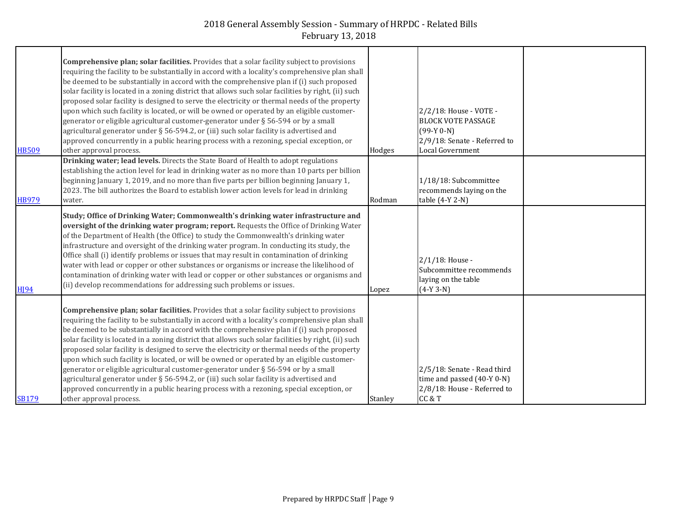|                         | <b>Comprehensive plan; solar facilities.</b> Provides that a solar facility subject to provisions<br>requiring the facility to be substantially in accord with a locality's comprehensive plan shall<br>be deemed to be substantially in accord with the comprehensive plan if (i) such proposed<br>solar facility is located in a zoning district that allows such solar facilities by right, (ii) such<br>proposed solar facility is designed to serve the electricity or thermal needs of the property<br>upon which such facility is located, or will be owned or operated by an eligible customer-                                                                                                                                                                                                                                                                                                         |                | 2/2/18: House - VOTE -                                                                               |  |
|-------------------------|-----------------------------------------------------------------------------------------------------------------------------------------------------------------------------------------------------------------------------------------------------------------------------------------------------------------------------------------------------------------------------------------------------------------------------------------------------------------------------------------------------------------------------------------------------------------------------------------------------------------------------------------------------------------------------------------------------------------------------------------------------------------------------------------------------------------------------------------------------------------------------------------------------------------|----------------|------------------------------------------------------------------------------------------------------|--|
| <b>HB509</b>            | generator or eligible agricultural customer-generator under § 56-594 or by a small<br>agricultural generator under § 56-594.2, or (iii) such solar facility is advertised and<br>approved concurrently in a public hearing process with a rezoning, special exception, or<br>other approval process.                                                                                                                                                                                                                                                                                                                                                                                                                                                                                                                                                                                                            | Hodges         | <b>BLOCK VOTE PASSAGE</b><br>$(99-Y 0-N)$<br>2/9/18: Senate - Referred to<br><b>Local Government</b> |  |
| <b>HB979</b>            | Drinking water; lead levels. Directs the State Board of Health to adopt regulations<br>establishing the action level for lead in drinking water as no more than 10 parts per billion<br>beginning January 1, 2019, and no more than five parts per billion beginning January 1,<br>2023. The bill authorizes the Board to establish lower action levels for lead in drinking<br>water.                                                                                                                                                                                                                                                                                                                                                                                                                                                                                                                          | Rodman         | 1/18/18: Subcommittee<br>recommends laying on the<br>table (4-Y 2-N)                                 |  |
| <b>H</b> <sub>194</sub> | Study; Office of Drinking Water; Commonwealth's drinking water infrastructure and<br>oversight of the drinking water program; report. Requests the Office of Drinking Water<br>of the Department of Health (the Office) to study the Commonwealth's drinking water<br>infrastructure and oversight of the drinking water program. In conducting its study, the<br>Office shall (i) identify problems or issues that may result in contamination of drinking<br>water with lead or copper or other substances or organisms or increase the likelihood of<br>contamination of drinking water with lead or copper or other substances or organisms and<br>(ii) develop recommendations for addressing such problems or issues.                                                                                                                                                                                     | Lopez          | 2/1/18: House -<br>Subcommittee recommends<br>laying on the table<br>$(4-Y 3-N)$                     |  |
| <b>SB179</b>            | <b>Comprehensive plan; solar facilities.</b> Provides that a solar facility subject to provisions<br>requiring the facility to be substantially in accord with a locality's comprehensive plan shall<br>be deemed to be substantially in accord with the comprehensive plan if (i) such proposed<br>solar facility is located in a zoning district that allows such solar facilities by right, (ii) such<br>proposed solar facility is designed to serve the electricity or thermal needs of the property<br>upon which such facility is located, or will be owned or operated by an eligible customer-<br>generator or eligible agricultural customer-generator under § 56-594 or by a small<br>agricultural generator under § 56-594.2, or (iii) such solar facility is advertised and<br>approved concurrently in a public hearing process with a rezoning, special exception, or<br>other approval process. | <b>Stanley</b> | 2/5/18: Senate - Read third<br>time and passed $(40-Y 0-N)$<br>2/8/18: House - Referred to<br>CC&T   |  |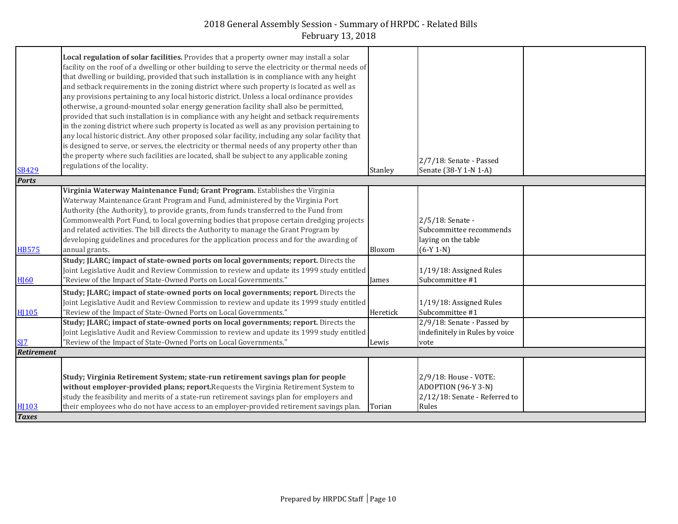| Local regulation of solar facilities. Provides that a property owner may install a solar                                                                                                                                                                     |  |
|--------------------------------------------------------------------------------------------------------------------------------------------------------------------------------------------------------------------------------------------------------------|--|
|                                                                                                                                                                                                                                                              |  |
| facility on the roof of a dwelling or other building to serve the electricity or thermal needs of                                                                                                                                                            |  |
| that dwelling or building, provided that such installation is in compliance with any height                                                                                                                                                                  |  |
| and setback requirements in the zoning district where such property is located as well as                                                                                                                                                                    |  |
| any provisions pertaining to any local historic district. Unless a local ordinance provides                                                                                                                                                                  |  |
| otherwise, a ground-mounted solar energy generation facility shall also be permitted,                                                                                                                                                                        |  |
| provided that such installation is in compliance with any height and setback requirements                                                                                                                                                                    |  |
| in the zoning district where such property is located as well as any provision pertaining to                                                                                                                                                                 |  |
| any local historic district. Any other proposed solar facility, including any solar facility that                                                                                                                                                            |  |
| is designed to serve, or serves, the electricity or thermal needs of any property other than                                                                                                                                                                 |  |
| the property where such facilities are located, shall be subject to any applicable zoning                                                                                                                                                                    |  |
| 2/7/18: Senate - Passed<br>regulations of the locality.                                                                                                                                                                                                      |  |
| <b>SB429</b><br>Senate (38-Y 1-N 1-A)<br>Stanley                                                                                                                                                                                                             |  |
| <b>Ports</b>                                                                                                                                                                                                                                                 |  |
| Virginia Waterway Maintenance Fund; Grant Program. Establishes the Virginia                                                                                                                                                                                  |  |
| Waterway Maintenance Grant Program and Fund, administered by the Virginia Port                                                                                                                                                                               |  |
| Authority (the Authority), to provide grants, from funds transferred to the Fund from                                                                                                                                                                        |  |
| Commonwealth Port Fund, to local governing bodies that propose certain dredging projects<br>2/5/18: Senate -                                                                                                                                                 |  |
| and related activities. The bill directs the Authority to manage the Grant Program by<br>Subcommittee recommends                                                                                                                                             |  |
| developing guidelines and procedures for the application process and for the awarding of<br>laying on the table                                                                                                                                              |  |
| annual grants.<br>$(6-Y 1-N)$<br><b>HB575</b><br>Bloxom                                                                                                                                                                                                      |  |
| Study; JLARC; impact of state-owned ports on local governments; report. Directs the                                                                                                                                                                          |  |
| Joint Legislative Audit and Review Commission to review and update its 1999 study entitled<br>1/19/18: Assigned Rules                                                                                                                                        |  |
| Subcommittee #1<br>"Review of the Impact of State-Owned Ports on Local Governments."<br><b>H</b> [60<br>James                                                                                                                                                |  |
| Study; JLARC; impact of state-owned ports on local governments; report. Directs the                                                                                                                                                                          |  |
| Joint Legislative Audit and Review Commission to review and update its 1999 study entitled<br>1/19/18: Assigned Rules                                                                                                                                        |  |
| Subcommittee #1<br><b>HI105</b><br>"Review of the Impact of State-Owned Ports on Local Governments."<br>Heretick                                                                                                                                             |  |
| Study; JLARC; impact of state-owned ports on local governments; report. Directs the<br>2/9/18: Senate - Passed by                                                                                                                                            |  |
| Joint Legislative Audit and Review Commission to review and update its 1999 study entitled<br>indefinitely in Rules by voice                                                                                                                                 |  |
| "Review of the Impact of State-Owned Ports on Local Governments."<br>SIZ<br>Lewis<br>vote                                                                                                                                                                    |  |
| Retirement                                                                                                                                                                                                                                                   |  |
|                                                                                                                                                                                                                                                              |  |
| 2/9/18: House - VOTE:                                                                                                                                                                                                                                        |  |
|                                                                                                                                                                                                                                                              |  |
| Study; Virginia Retirement System; state-run retirement savings plan for people                                                                                                                                                                              |  |
| without employer-provided plans; report. Requests the Virginia Retirement System to<br>ADOPTION (96-Y 3-N)                                                                                                                                                   |  |
| study the feasibility and merits of a state-run retirement savings plan for employers and<br>2/12/18: Senate - Referred to<br>their employees who do not have access to an employer-provided retirement savings plan.<br>Rules<br>H <sub>103</sub><br>Torian |  |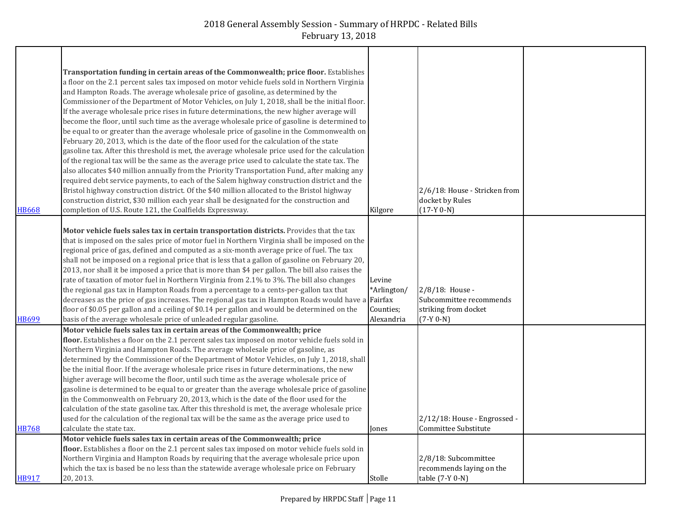| <b>HB668</b> | Transportation funding in certain areas of the Commonwealth; price floor. Establishes<br>a floor on the 2.1 percent sales tax imposed on motor vehicle fuels sold in Northern Virginia<br>and Hampton Roads. The average wholesale price of gasoline, as determined by the<br>Commissioner of the Department of Motor Vehicles, on July 1, 2018, shall be the initial floor.<br>If the average wholesale price rises in future determinations, the new higher average will<br>become the floor, until such time as the average wholesale price of gasoline is determined to<br>be equal to or greater than the average wholesale price of gasoline in the Commonwealth on<br>February 20, 2013, which is the date of the floor used for the calculation of the state<br>gasoline tax. After this threshold is met, the average wholesale price used for the calculation<br>of the regional tax will be the same as the average price used to calculate the state tax. The<br>also allocates \$40 million annually from the Priority Transportation Fund, after making any<br>required debt service payments, to each of the Salem highway construction district and the<br>Bristol highway construction district. Of the \$40 million allocated to the Bristol highway<br>construction district, \$30 million each year shall be designated for the construction and<br>completion of U.S. Route 121, the Coalfields Expressway. | Kilgore                                                     | 2/6/18: House - Stricken from<br>docket by Rules<br>$(17-Y 0-N)$                     |  |
|--------------|----------------------------------------------------------------------------------------------------------------------------------------------------------------------------------------------------------------------------------------------------------------------------------------------------------------------------------------------------------------------------------------------------------------------------------------------------------------------------------------------------------------------------------------------------------------------------------------------------------------------------------------------------------------------------------------------------------------------------------------------------------------------------------------------------------------------------------------------------------------------------------------------------------------------------------------------------------------------------------------------------------------------------------------------------------------------------------------------------------------------------------------------------------------------------------------------------------------------------------------------------------------------------------------------------------------------------------------------------------------------------------------------------------------------------------|-------------------------------------------------------------|--------------------------------------------------------------------------------------|--|
| <b>HB699</b> | Motor vehicle fuels sales tax in certain transportation districts. Provides that the tax<br>that is imposed on the sales price of motor fuel in Northern Virginia shall be imposed on the<br>regional price of gas, defined and computed as a six-month average price of fuel. The tax<br>shall not be imposed on a regional price that is less that a gallon of gasoline on February 20,<br>2013, nor shall it be imposed a price that is more than \$4 per gallon. The bill also raises the<br>rate of taxation of motor fuel in Northern Virginia from 2.1% to 3%. The bill also changes<br>the regional gas tax in Hampton Roads from a percentage to a cents-per-gallon tax that<br>decreases as the price of gas increases. The regional gas tax in Hampton Roads would have a<br>floor of \$0.05 per gallon and a ceiling of \$0.14 per gallon and would be determined on the<br>basis of the average wholesale price of unleaded regular gasoline.                                                                                                                                                                                                                                                                                                                                                                                                                                                                       | Levine<br>*Arlington/<br>Fairfax<br>Counties;<br>Alexandria | $2/8/18$ : House -<br>Subcommittee recommends<br>striking from docket<br>$(7-Y 0-N)$ |  |
| <b>HB768</b> | Motor vehicle fuels sales tax in certain areas of the Commonwealth; price<br>floor. Establishes a floor on the 2.1 percent sales tax imposed on motor vehicle fuels sold in<br>Northern Virginia and Hampton Roads. The average wholesale price of gasoline, as<br>determined by the Commissioner of the Department of Motor Vehicles, on July 1, 2018, shall<br>be the initial floor. If the average wholesale price rises in future determinations, the new<br>higher average will become the floor, until such time as the average wholesale price of<br>gasoline is determined to be equal to or greater than the average wholesale price of gasoline<br>in the Commonwealth on February 20, 2013, which is the date of the floor used for the<br>calculation of the state gasoline tax. After this threshold is met, the average wholesale price<br>used for the calculation of the regional tax will be the same as the average price used to<br>calculate the state tax.                                                                                                                                                                                                                                                                                                                                                                                                                                                  | Jones                                                       | 2/12/18: House - Engrossed -<br>Committee Substitute                                 |  |
| <b>HB917</b> | Motor vehicle fuels sales tax in certain areas of the Commonwealth; price<br>floor. Establishes a floor on the 2.1 percent sales tax imposed on motor vehicle fuels sold in<br>Northern Virginia and Hampton Roads by requiring that the average wholesale price upon<br>which the tax is based be no less than the statewide average wholesale price on February<br>20, 2013.                                                                                                                                                                                                                                                                                                                                                                                                                                                                                                                                                                                                                                                                                                                                                                                                                                                                                                                                                                                                                                                   | Stolle                                                      | 2/8/18: Subcommittee<br>recommends laying on the<br>table (7-Y 0-N)                  |  |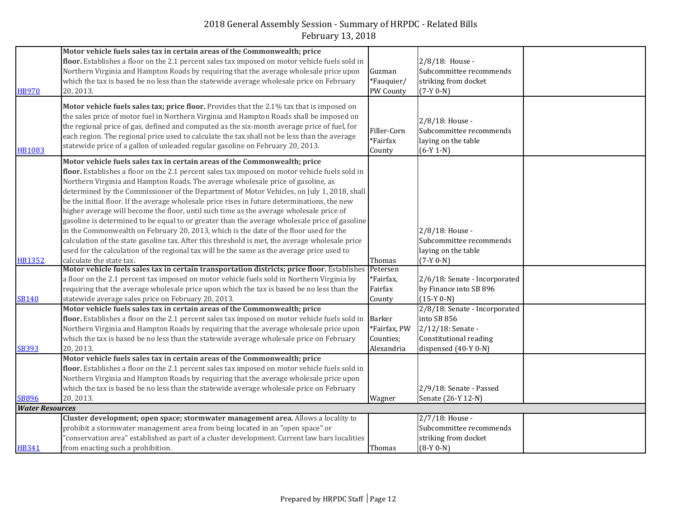| <b>HB970</b>           | Motor vehicle fuels sales tax in certain areas of the Commonwealth; price<br>floor. Establishes a floor on the 2.1 percent sales tax imposed on motor vehicle fuels sold in<br>Northern Virginia and Hampton Roads by requiring that the average wholesale price upon<br>which the tax is based be no less than the statewide average wholesale price on February<br>20, 2013.                                                                                                                                                                                                                                                                                                                                                                                                                                                                                                                                                                                                  | Guzman<br>*Fauquier/<br>PW County          | 2/8/18: House -<br>Subcommittee recommends<br>striking from docket<br>$(7-Y 0-N)$                                   |  |
|------------------------|---------------------------------------------------------------------------------------------------------------------------------------------------------------------------------------------------------------------------------------------------------------------------------------------------------------------------------------------------------------------------------------------------------------------------------------------------------------------------------------------------------------------------------------------------------------------------------------------------------------------------------------------------------------------------------------------------------------------------------------------------------------------------------------------------------------------------------------------------------------------------------------------------------------------------------------------------------------------------------|--------------------------------------------|---------------------------------------------------------------------------------------------------------------------|--|
| <b>HB1083</b>          | Motor vehicle fuels sales tax; price floor. Provides that the 2.1% tax that is imposed on<br>the sales price of motor fuel in Northern Virginia and Hampton Roads shall be imposed on<br>the regional price of gas, defined and computed as the six-month average price of fuel, for<br>each region. The regional price used to calculate the tax shall not be less than the average<br>statewide price of a gallon of unleaded regular gasoline on February 20, 2013.                                                                                                                                                                                                                                                                                                                                                                                                                                                                                                          | Filler-Corn<br>*Fairfax<br>County          | 2/8/18: House -<br>Subcommittee recommends<br>laying on the table<br>$(6-Y 1-N)$                                    |  |
| HB1352                 | Motor vehicle fuels sales tax in certain areas of the Commonwealth; price<br>floor. Establishes a floor on the 2.1 percent sales tax imposed on motor vehicle fuels sold in<br>Northern Virginia and Hampton Roads. The average wholesale price of gasoline, as<br>determined by the Commissioner of the Department of Motor Vehicles, on July 1, 2018, shall<br>be the initial floor. If the average wholesale price rises in future determinations, the new<br>higher average will become the floor, until such time as the average wholesale price of<br>gasoline is determined to be equal to or greater than the average wholesale price of gasoline<br>in the Commonwealth on February 20, 2013, which is the date of the floor used for the<br>calculation of the state gasoline tax. After this threshold is met, the average wholesale price<br>used for the calculation of the regional tax will be the same as the average price used to<br>calculate the state tax. | Thomas                                     | 2/8/18: House -<br>Subcommittee recommends<br>laying on the table<br>$(7-Y 0-N)$                                    |  |
| <b>SB140</b>           | Motor vehicle fuels sales tax in certain transportation districts; price floor. Establishes<br>a floor on the 2.1 percent tax imposed on motor vehicle fuels sold in Northern Virginia by<br>requiring that the average wholesale price upon which the tax is based be no less than the<br>statewide average sales price on February 20, 2013.                                                                                                                                                                                                                                                                                                                                                                                                                                                                                                                                                                                                                                  | Petersen<br>*Fairfax,<br>Fairfax<br>County | 2/6/18: Senate - Incorporated<br>by Finance into SB 896<br>$(15-Y 0-N)$                                             |  |
| <b>SB393</b>           | Motor vehicle fuels sales tax in certain areas of the Commonwealth; price<br>floor. Establishes a floor on the 2.1 percent sales tax imposed on motor vehicle fuels sold in Barker<br>Northern Virginia and Hampton Roads by requiring that the average wholesale price upon<br>which the tax is based be no less than the statewide average wholesale price on February<br>20, 2013.                                                                                                                                                                                                                                                                                                                                                                                                                                                                                                                                                                                           | *Fairfax, PW<br>Counties;<br>Alexandria    | 2/8/18: Senate - Incorporated<br>into SB 856<br>2/12/18: Senate -<br>Constitutional reading<br>dispensed (40-Y 0-N) |  |
| <b>SB896</b>           | Motor vehicle fuels sales tax in certain areas of the Commonwealth; price<br>floor. Establishes a floor on the 2.1 percent sales tax imposed on motor vehicle fuels sold in<br>Northern Virginia and Hampton Roads by requiring that the average wholesale price upon<br>which the tax is based be no less than the statewide average wholesale price on February<br>20, 2013.                                                                                                                                                                                                                                                                                                                                                                                                                                                                                                                                                                                                  | Wagner                                     | 2/9/18: Senate - Passed<br>Senate (26-Y 12-N)                                                                       |  |
| <b>Water Resources</b> |                                                                                                                                                                                                                                                                                                                                                                                                                                                                                                                                                                                                                                                                                                                                                                                                                                                                                                                                                                                 |                                            |                                                                                                                     |  |
|                        | Cluster development; open space; stormwater management area. Allows a locality to<br>prohibit a stormwater management area from being located in an "open space" or<br>"conservation area" established as part of a cluster development. Current law bars localities                                                                                                                                                                                                                                                                                                                                                                                                                                                                                                                                                                                                                                                                                                            |                                            | $2/7/18$ : House -<br>Subcommittee recommends<br>striking from docket                                               |  |
| <b>HB341</b>           | from enacting such a prohibition.                                                                                                                                                                                                                                                                                                                                                                                                                                                                                                                                                                                                                                                                                                                                                                                                                                                                                                                                               | Thomas                                     | $(8-Y 0-N)$                                                                                                         |  |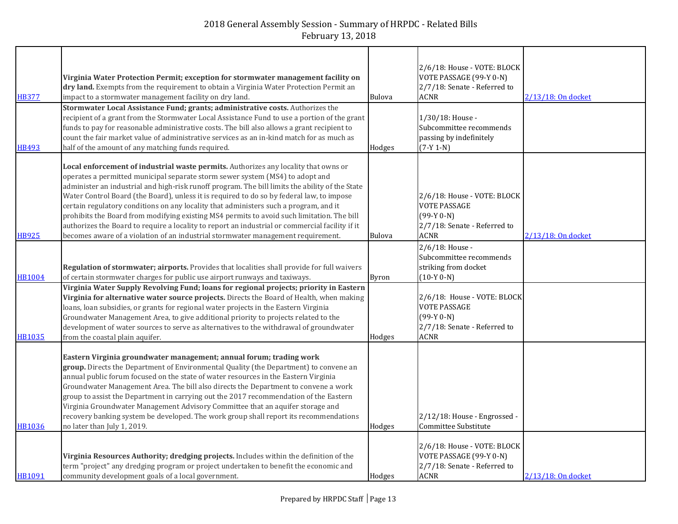| <b>HB377</b>  | Virginia Water Protection Permit; exception for stormwater management facility on<br>dry land. Exempts from the requirement to obtain a Virginia Water Protection Permit an<br>impact to a stormwater management facility on dry land.<br>Stormwater Local Assistance Fund; grants; administrative costs. Authorizes the                                                                                                                                                                                                                                                                                                                                                                                                                           | <b>Bulova</b> | 2/6/18: House - VOTE: BLOCK<br>VOTE PASSAGE (99-Y 0-N)<br>2/7/18: Senate - Referred to<br><b>ACNR</b>             | 2/13/18: On docket |
|---------------|----------------------------------------------------------------------------------------------------------------------------------------------------------------------------------------------------------------------------------------------------------------------------------------------------------------------------------------------------------------------------------------------------------------------------------------------------------------------------------------------------------------------------------------------------------------------------------------------------------------------------------------------------------------------------------------------------------------------------------------------------|---------------|-------------------------------------------------------------------------------------------------------------------|--------------------|
| <b>HB493</b>  | recipient of a grant from the Stormwater Local Assistance Fund to use a portion of the grant<br>funds to pay for reasonable administrative costs. The bill also allows a grant recipient to<br>count the fair market value of administrative services as an in-kind match for as much as<br>half of the amount of any matching funds required.                                                                                                                                                                                                                                                                                                                                                                                                     | Hodges        | 1/30/18: House -<br>Subcommittee recommends<br>passing by indefinitely<br>$(7-Y 1-N)$                             |                    |
| HB925         | Local enforcement of industrial waste permits. Authorizes any locality that owns or<br>operates a permitted municipal separate storm sewer system (MS4) to adopt and<br>administer an industrial and high-risk runoff program. The bill limits the ability of the State<br>Water Control Board (the Board), unless it is required to do so by federal law, to impose<br>certain regulatory conditions on any locality that administers such a program, and it<br>prohibits the Board from modifying existing MS4 permits to avoid such limitation. The bill<br>authorizes the Board to require a locality to report an industrial or commercial facility if it<br>becomes aware of a violation of an industrial stormwater management requirement. | Bulova        | 2/6/18: House - VOTE: BLOCK<br><b>VOTE PASSAGE</b><br>$(99-Y 0-N)$<br>2/7/18: Senate - Referred to<br><b>ACNR</b> | 2/13/18: On docket |
| <b>HB1004</b> | Regulation of stormwater; airports. Provides that localities shall provide for full waivers<br>of certain stormwater charges for public use airport runways and taxiways.                                                                                                                                                                                                                                                                                                                                                                                                                                                                                                                                                                          | <b>Byron</b>  | 2/6/18: House -<br>Subcommittee recommends<br>striking from docket<br>$(10-Y 0-N)$                                |                    |
| <b>HB1035</b> | Virginia Water Supply Revolving Fund; loans for regional projects; priority in Eastern<br>Virginia for alternative water source projects. Directs the Board of Health, when making<br>loans, loan subsidies, or grants for regional water projects in the Eastern Virginia<br>Groundwater Management Area, to give additional priority to projects related to the<br>development of water sources to serve as alternatives to the withdrawal of groundwater<br>from the coastal plain aquifer.                                                                                                                                                                                                                                                     | Hodges        | 2/6/18: House - VOTE: BLOCK<br><b>VOTE PASSAGE</b><br>$(99-Y 0-N)$<br>2/7/18: Senate - Referred to<br><b>ACNR</b> |                    |
| <b>HB1036</b> | Eastern Virginia groundwater management; annual forum; trading work<br>group. Directs the Department of Environmental Quality (the Department) to convene an<br>annual public forum focused on the state of water resources in the Eastern Virginia<br>Groundwater Management Area. The bill also directs the Department to convene a work<br>group to assist the Department in carrying out the 2017 recommendation of the Eastern<br>Virginia Groundwater Management Advisory Committee that an aquifer storage and<br>recovery banking system be developed. The work group shall report its recommendations<br>no later than July 1, 2019.                                                                                                      | Hodges        | 2/12/18: House - Engrossed -<br>Committee Substitute                                                              |                    |
| HB1091        | Virginia Resources Authority; dredging projects. Includes within the definition of the<br>term "project" any dredging program or project undertaken to benefit the economic and<br>community development goals of a local government.                                                                                                                                                                                                                                                                                                                                                                                                                                                                                                              | Hodges        | 2/6/18: House - VOTE: BLOCK<br>VOTE PASSAGE (99-Y 0-N)<br>2/7/18: Senate - Referred to<br><b>ACNR</b>             | 2/13/18: On docket |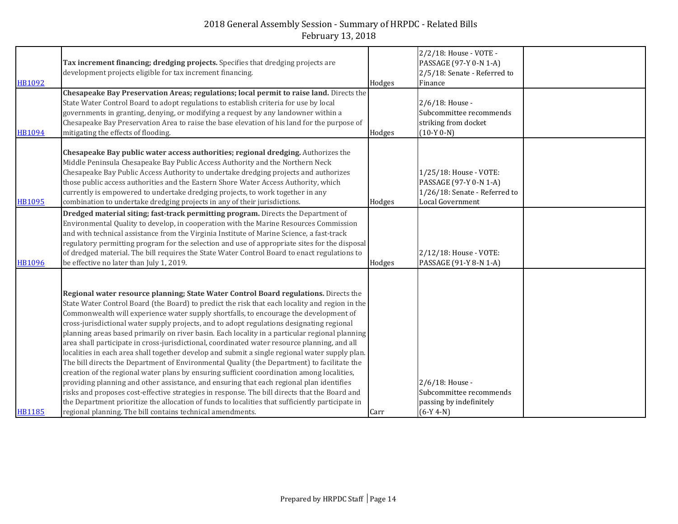| <b>HB1092</b>                  | Tax increment financing; dredging projects. Specifies that dredging projects are<br>development projects eligible for tax increment financing.<br>Chesapeake Bay Preservation Areas; regulations; local permit to raise land. Directs the<br>State Water Control Board to adopt regulations to establish criteria for use by local<br>governments in granting, denying, or modifying a request by any landowner within a<br>Chesapeake Bay Preservation Area to raise the base elevation of his land for the purpose of                                                                                                                                                                                                                                                                                                                                                                                                                                                                                                                                                                                                                                                                                                                      | Hodges           | 2/2/18: House - VOTE -<br>PASSAGE (97-Y 0-N 1-A)<br>2/5/18: Senate - Referred to<br>Finance<br>2/6/18: House -<br>Subcommittee recommends<br>striking from docket |  |
|--------------------------------|----------------------------------------------------------------------------------------------------------------------------------------------------------------------------------------------------------------------------------------------------------------------------------------------------------------------------------------------------------------------------------------------------------------------------------------------------------------------------------------------------------------------------------------------------------------------------------------------------------------------------------------------------------------------------------------------------------------------------------------------------------------------------------------------------------------------------------------------------------------------------------------------------------------------------------------------------------------------------------------------------------------------------------------------------------------------------------------------------------------------------------------------------------------------------------------------------------------------------------------------|------------------|-------------------------------------------------------------------------------------------------------------------------------------------------------------------|--|
| <b>HB1094</b><br><b>HB1095</b> | mitigating the effects of flooding.<br>Chesapeake Bay public water access authorities; regional dredging. Authorizes the<br>Middle Peninsula Chesapeake Bay Public Access Authority and the Northern Neck<br>Chesapeake Bay Public Access Authority to undertake dredging projects and authorizes<br>those public access authorities and the Eastern Shore Water Access Authority, which<br>currently is empowered to undertake dredging projects, to work together in any<br>combination to undertake dredging projects in any of their jurisdictions.                                                                                                                                                                                                                                                                                                                                                                                                                                                                                                                                                                                                                                                                                      | Hodges<br>Hodges | $(10-Y 0-N)$<br>1/25/18: House - VOTE:<br>PASSAGE (97-Y 0-N 1-A)<br>1/26/18: Senate - Referred to<br>Local Government                                             |  |
| <b>HB1096</b>                  | Dredged material siting; fast-track permitting program. Directs the Department of<br>Environmental Quality to develop, in cooperation with the Marine Resources Commission<br>and with technical assistance from the Virginia Institute of Marine Science, a fast-track<br>regulatory permitting program for the selection and use of appropriate sites for the disposal<br>of dredged material. The bill requires the State Water Control Board to enact regulations to<br>be effective no later than July 1, 2019.                                                                                                                                                                                                                                                                                                                                                                                                                                                                                                                                                                                                                                                                                                                         | Hodges           | 2/12/18: House - VOTE:<br>PASSAGE (91-Y 8-N 1-A)                                                                                                                  |  |
| <b>HB1185</b>                  | Regional water resource planning; State Water Control Board regulations. Directs the<br>State Water Control Board (the Board) to predict the risk that each locality and region in the<br>Commonwealth will experience water supply shortfalls, to encourage the development of<br>cross-jurisdictional water supply projects, and to adopt regulations designating regional<br>planning areas based primarily on river basin. Each locality in a particular regional planning<br>area shall participate in cross-jurisdictional, coordinated water resource planning, and all<br>localities in each area shall together develop and submit a single regional water supply plan.<br>The bill directs the Department of Environmental Quality (the Department) to facilitate the<br>creation of the regional water plans by ensuring sufficient coordination among localities,<br>providing planning and other assistance, and ensuring that each regional plan identifies<br>risks and proposes cost-effective strategies in response. The bill directs that the Board and<br>the Department prioritize the allocation of funds to localities that sufficiently participate in<br>regional planning. The bill contains technical amendments. | Carr             | 2/6/18: House -<br>Subcommittee recommends<br>passing by indefinitely<br>$(6-Y 4-N)$                                                                              |  |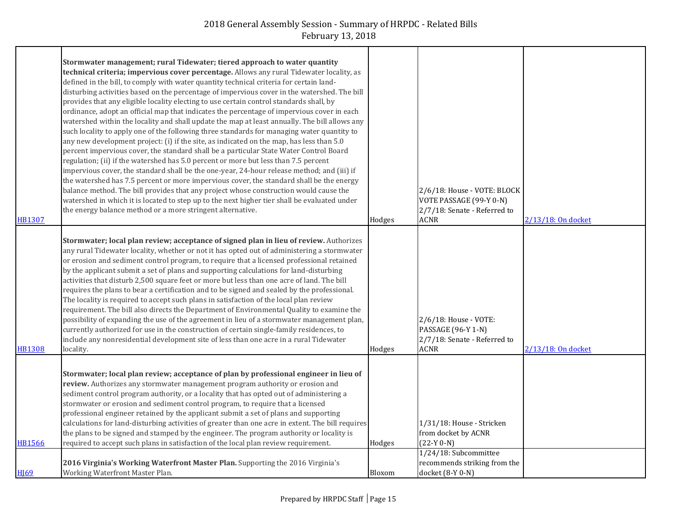| HB1307        | Stormwater management; rural Tidewater; tiered approach to water quantity<br>technical criteria; impervious cover percentage. Allows any rural Tidewater locality, as<br>defined in the bill, to comply with water quantity technical criteria for certain land-<br>disturbing activities based on the percentage of impervious cover in the watershed. The bill<br>provides that any eligible locality electing to use certain control standards shall, by<br>ordinance, adopt an official map that indicates the percentage of impervious cover in each<br>watershed within the locality and shall update the map at least annually. The bill allows any<br>such locality to apply one of the following three standards for managing water quantity to<br>any new development project: (i) if the site, as indicated on the map, has less than 5.0<br>percent impervious cover, the standard shall be a particular State Water Control Board<br>regulation; (ii) if the watershed has 5.0 percent or more but less than 7.5 percent<br>impervious cover, the standard shall be the one-year, 24-hour release method; and (iii) if<br>the watershed has 7.5 percent or more impervious cover, the standard shall be the energy<br>balance method. The bill provides that any project whose construction would cause the<br>watershed in which it is located to step up to the next higher tier shall be evaluated under<br>the energy balance method or a more stringent alternative. | Hodges | 2/6/18: House - VOTE: BLOCK<br>VOTE PASSAGE (99-Y 0-N)<br>2/7/18: Senate - Referred to<br><b>ACNR</b> | 2/13/18: On docket |
|---------------|----------------------------------------------------------------------------------------------------------------------------------------------------------------------------------------------------------------------------------------------------------------------------------------------------------------------------------------------------------------------------------------------------------------------------------------------------------------------------------------------------------------------------------------------------------------------------------------------------------------------------------------------------------------------------------------------------------------------------------------------------------------------------------------------------------------------------------------------------------------------------------------------------------------------------------------------------------------------------------------------------------------------------------------------------------------------------------------------------------------------------------------------------------------------------------------------------------------------------------------------------------------------------------------------------------------------------------------------------------------------------------------------------------------------------------------------------------------------------------------|--------|-------------------------------------------------------------------------------------------------------|--------------------|
| <b>HB1308</b> | Stormwater; local plan review; acceptance of signed plan in lieu of review. Authorizes<br>any rural Tidewater locality, whether or not it has opted out of administering a stormwater<br>or erosion and sediment control program, to require that a licensed professional retained<br>by the applicant submit a set of plans and supporting calculations for land-disturbing<br>activities that disturb 2,500 square feet or more but less than one acre of land. The bill<br>requires the plans to bear a certification and to be signed and sealed by the professional.<br>The locality is required to accept such plans in satisfaction of the local plan review<br>requirement. The bill also directs the Department of Environmental Quality to examine the<br>possibility of expanding the use of the agreement in lieu of a stormwater management plan,<br>currently authorized for use in the construction of certain single-family residences, to<br>include any nonresidential development site of less than one acre in a rural Tidewater<br>locality.                                                                                                                                                                                                                                                                                                                                                                                                                      | Hodges | 2/6/18: House - VOTE:<br>PASSAGE (96-Y 1-N)<br>2/7/18: Senate - Referred to<br><b>ACNR</b>            | 2/13/18: On docket |
| <b>HB1566</b> | Stormwater; local plan review; acceptance of plan by professional engineer in lieu of<br>review. Authorizes any stormwater management program authority or erosion and<br>sediment control program authority, or a locality that has opted out of administering a<br>stormwater or erosion and sediment control program, to require that a licensed<br>professional engineer retained by the applicant submit a set of plans and supporting<br>calculations for land-disturbing activities of greater than one acre in extent. The bill requires<br>the plans to be signed and stamped by the engineer. The program authority or locality is<br>required to accept such plans in satisfaction of the local plan review requirement.                                                                                                                                                                                                                                                                                                                                                                                                                                                                                                                                                                                                                                                                                                                                                    | Hodges | 1/31/18: House - Stricken<br>from docket by ACNR<br>$(22-Y 0-N)$                                      |                    |
| <b>HI69</b>   | 2016 Virginia's Working Waterfront Master Plan. Supporting the 2016 Virginia's<br>Working Waterfront Master Plan.                                                                                                                                                                                                                                                                                                                                                                                                                                                                                                                                                                                                                                                                                                                                                                                                                                                                                                                                                                                                                                                                                                                                                                                                                                                                                                                                                                      | Bloxom | 1/24/18: Subcommittee<br>recommends striking from the<br>docket (8-Y 0-N)                             |                    |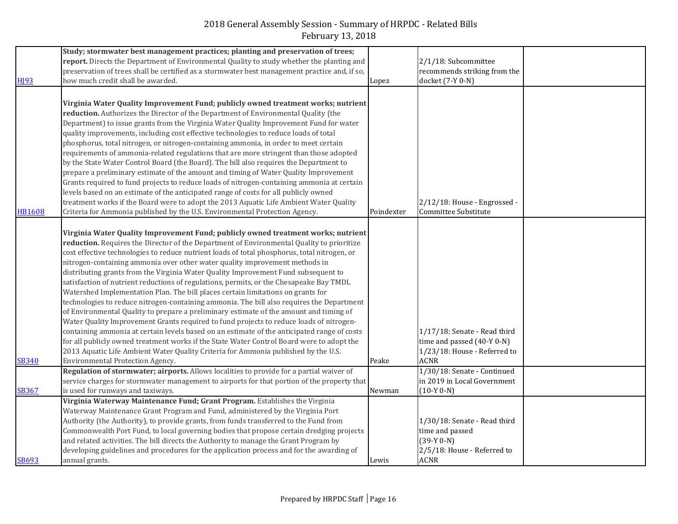|                  | Study; stormwater best management practices; planting and preservation of trees;              |            |                                                      |  |
|------------------|-----------------------------------------------------------------------------------------------|------------|------------------------------------------------------|--|
|                  | report. Directs the Department of Environmental Quality to study whether the planting and     |            | 2/1/18: Subcommittee                                 |  |
|                  | preservation of trees shall be certified as a stormwater best management practice and, if so, |            | recommends striking from the                         |  |
| H <sub>193</sub> | how much credit shall be awarded.                                                             | Lopez      | docket (7-Y 0-N)                                     |  |
|                  |                                                                                               |            |                                                      |  |
|                  | Virginia Water Quality Improvement Fund; publicly owned treatment works; nutrient             |            |                                                      |  |
|                  | reduction. Authorizes the Director of the Department of Environmental Quality (the            |            |                                                      |  |
|                  | Department) to issue grants from the Virginia Water Quality Improvement Fund for water        |            |                                                      |  |
|                  | quality improvements, including cost effective technologies to reduce loads of total          |            |                                                      |  |
|                  | phosphorus, total nitrogen, or nitrogen-containing ammonia, in order to meet certain          |            |                                                      |  |
|                  | requirements of ammonia-related regulations that are more stringent than those adopted        |            |                                                      |  |
|                  | by the State Water Control Board (the Board). The bill also requires the Department to        |            |                                                      |  |
|                  | prepare a preliminary estimate of the amount and timing of Water Quality Improvement          |            |                                                      |  |
|                  | Grants required to fund projects to reduce loads of nitrogen-containing ammonia at certain    |            |                                                      |  |
|                  | levels based on an estimate of the anticipated range of costs for all publicly owned          |            |                                                      |  |
|                  |                                                                                               |            |                                                      |  |
|                  | treatment works if the Board were to adopt the 2013 Aquatic Life Ambient Water Quality        |            | 2/12/18: House - Engrossed -<br>Committee Substitute |  |
| <b>HB1608</b>    | Criteria for Ammonia published by the U.S. Environmental Protection Agency.                   | Poindexter |                                                      |  |
|                  |                                                                                               |            |                                                      |  |
|                  | Virginia Water Quality Improvement Fund; publicly owned treatment works; nutrient             |            |                                                      |  |
|                  | reduction. Requires the Director of the Department of Environmental Quality to prioritize     |            |                                                      |  |
|                  | cost effective technologies to reduce nutrient loads of total phosphorus, total nitrogen, or  |            |                                                      |  |
|                  | nitrogen-containing ammonia over other water quality improvement methods in                   |            |                                                      |  |
|                  | distributing grants from the Virginia Water Quality Improvement Fund subsequent to            |            |                                                      |  |
|                  | satisfaction of nutrient reductions of regulations, permits, or the Chesapeake Bay TMDL       |            |                                                      |  |
|                  | Watershed Implementation Plan. The bill places certain limitations on grants for              |            |                                                      |  |
|                  | technologies to reduce nitrogen-containing ammonia. The bill also requires the Department     |            |                                                      |  |
|                  | of Environmental Quality to prepare a preliminary estimate of the amount and timing of        |            |                                                      |  |
|                  | Water Quality Improvement Grants required to fund projects to reduce loads of nitrogen-       |            |                                                      |  |
|                  | containing ammonia at certain levels based on an estimate of the anticipated range of costs   |            | 1/17/18: Senate - Read third                         |  |
|                  | for all publicly owned treatment works if the State Water Control Board were to adopt the     |            | time and passed (40-Y 0-N)                           |  |
|                  | 2013 Aquatic Life Ambient Water Quality Criteria for Ammonia published by the U.S.            |            | 1/23/18: House - Referred to                         |  |
| <b>SB340</b>     | Environmental Protection Agency.                                                              | Peake      | <b>ACNR</b>                                          |  |
|                  | Regulation of stormwater; airports. Allows localities to provide for a partial waiver of      |            | 1/30/18: Senate - Continued                          |  |
|                  | service charges for stormwater management to airports for that portion of the property that   |            | in 2019 in Local Government                          |  |
| <b>SB367</b>     | is used for runways and taxiways.                                                             | Newman     | $(10-Y 0-N)$                                         |  |
|                  | Virginia Waterway Maintenance Fund; Grant Program. Establishes the Virginia                   |            |                                                      |  |
|                  | Waterway Maintenance Grant Program and Fund, administered by the Virginia Port                |            |                                                      |  |
|                  | Authority (the Authority), to provide grants, from funds transferred to the Fund from         |            | 1/30/18: Senate - Read third                         |  |
|                  | Commonwealth Port Fund, to local governing bodies that propose certain dredging projects      |            | time and passed                                      |  |
|                  | and related activities. The bill directs the Authority to manage the Grant Program by         |            | $(39-Y 0-N)$                                         |  |
|                  | developing guidelines and procedures for the application process and for the awarding of      |            | 2/5/18: House - Referred to                          |  |
| <b>SB693</b>     | annual grants.                                                                                | Lewis      | <b>ACNR</b>                                          |  |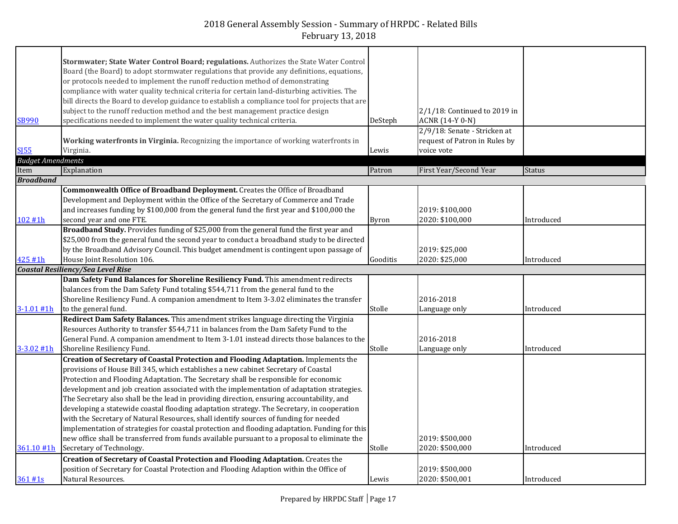|                          | Stormwater; State Water Control Board; regulations. Authorizes the State Water Control          |              |                                                 |               |
|--------------------------|-------------------------------------------------------------------------------------------------|--------------|-------------------------------------------------|---------------|
|                          | Board (the Board) to adopt stormwater regulations that provide any definitions, equations,      |              |                                                 |               |
|                          | or protocols needed to implement the runoff reduction method of demonstrating                   |              |                                                 |               |
|                          | compliance with water quality technical criteria for certain land-disturbing activities. The    |              |                                                 |               |
|                          | bill directs the Board to develop guidance to establish a compliance tool for projects that are |              |                                                 |               |
|                          | subject to the runoff reduction method and the best management practice design                  |              |                                                 |               |
| <b>SB990</b>             | specifications needed to implement the water quality technical criteria.                        | DeSteph      | 2/1/18: Continued to 2019 in<br>ACNR (14-Y 0-N) |               |
|                          |                                                                                                 |              |                                                 |               |
|                          |                                                                                                 |              | 2/9/18: Senate - Stricken at                    |               |
|                          | Working waterfronts in Virginia. Recognizing the importance of working waterfronts in           |              | request of Patron in Rules by                   |               |
| <b>SI55</b>              | Virginia.                                                                                       | Lewis        | voice vote                                      |               |
| <b>Budget Amendments</b> |                                                                                                 |              |                                                 |               |
| Item                     | Explanation                                                                                     | Patron       | First Year/Second Year                          | <b>Status</b> |
| <b>Broadband</b>         |                                                                                                 |              |                                                 |               |
|                          | Commonwealth Office of Broadband Deployment. Creates the Office of Broadband                    |              |                                                 |               |
|                          | Development and Deployment within the Office of the Secretary of Commerce and Trade             |              |                                                 |               |
|                          | and increases funding by \$100,000 from the general fund the first year and \$100,000 the       |              | 2019: \$100,000                                 |               |
| 102 #1h                  | second year and one FTE.                                                                        | <b>Byron</b> | 2020: \$100,000                                 | Introduced    |
|                          | Broadband Study. Provides funding of \$25,000 from the general fund the first year and          |              |                                                 |               |
|                          | \$25,000 from the general fund the second year to conduct a broadband study to be directed      |              |                                                 |               |
|                          | by the Broadband Advisory Council. This budget amendment is contingent upon passage of          |              | 2019: \$25,000                                  |               |
| 425 #1h                  | House Joint Resolution 106.                                                                     | Gooditis     | 2020: \$25,000                                  | Introduced    |
|                          | <b>Coastal Resiliency/Sea Level Rise</b>                                                        |              |                                                 |               |
|                          | Dam Safety Fund Balances for Shoreline Resiliency Fund. This amendment redirects                |              |                                                 |               |
|                          | balances from the Dam Safety Fund totaling \$544,711 from the general fund to the               |              |                                                 |               |
|                          | Shoreline Resiliency Fund. A companion amendment to Item 3-3.02 eliminates the transfer         |              | 2016-2018                                       |               |
| $3 - 1.01$ #1h           | to the general fund.                                                                            | Stolle       | Language only                                   | Introduced    |
|                          | Redirect Dam Safety Balances. This amendment strikes language directing the Virginia            |              |                                                 |               |
|                          | Resources Authority to transfer \$544,711 in balances from the Dam Safety Fund to the           |              |                                                 |               |
|                          | General Fund. A companion amendment to Item 3-1.01 instead directs those balances to the        |              | 2016-2018                                       |               |
| $3 - 3.02$ #1h           | Shoreline Resiliency Fund.                                                                      | Stolle       | Language only                                   | Introduced    |
|                          | Creation of Secretary of Coastal Protection and Flooding Adaptation. Implements the             |              |                                                 |               |
|                          | provisions of House Bill 345, which establishes a new cabinet Secretary of Coastal              |              |                                                 |               |
|                          | Protection and Flooding Adaptation. The Secretary shall be responsible for economic             |              |                                                 |               |
|                          | development and job creation associated with the implementation of adaptation strategies.       |              |                                                 |               |
|                          | The Secretary also shall be the lead in providing direction, ensuring accountability, and       |              |                                                 |               |
|                          | developing a statewide coastal flooding adaptation strategy. The Secretary, in cooperation      |              |                                                 |               |
|                          | with the Secretary of Natural Resources, shall identify sources of funding for needed           |              |                                                 |               |
|                          | implementation of strategies for coastal protection and flooding adaptation. Funding for this   |              |                                                 |               |
|                          | new office shall be transferred from funds available pursuant to a proposal to eliminate the    |              | 2019: \$500,000                                 |               |
| 361.10 #1h               | Secretary of Technology.                                                                        | Stolle       | 2020: \$500,000                                 | Introduced    |
|                          |                                                                                                 |              |                                                 |               |
|                          | Creation of Secretary of Coastal Protection and Flooding Adaptation. Creates the                |              |                                                 |               |
|                          | position of Secretary for Coastal Protection and Flooding Adaption within the Office of         |              | 2019: \$500,000                                 |               |
| 361#1s                   | Natural Resources.                                                                              | Lewis        | 2020: \$500,001                                 | Introduced    |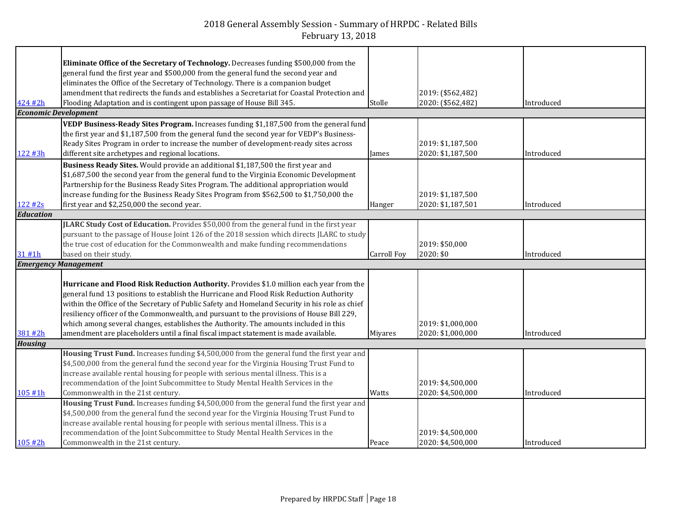|                             | Eliminate Office of the Secretary of Technology. Decreases funding \$500,000 from the          |                    |                                        |            |
|-----------------------------|------------------------------------------------------------------------------------------------|--------------------|----------------------------------------|------------|
|                             | general fund the first year and \$500,000 from the general fund the second year and            |                    |                                        |            |
|                             | eliminates the Office of the Secretary of Technology. There is a companion budget              |                    |                                        |            |
|                             | amendment that redirects the funds and establishes a Secretariat for Coastal Protection and    |                    | 2019: (\$562,482)                      |            |
| 424 #2h                     | Flooding Adaptation and is contingent upon passage of House Bill 345.                          | Stolle             | 2020: (\$562,482)                      | Introduced |
| <b>Economic Development</b> |                                                                                                |                    |                                        |            |
|                             | VEDP Business-Ready Sites Program. Increases funding \$1,187,500 from the general fund         |                    |                                        |            |
|                             | the first year and \$1,187,500 from the general fund the second year for VEDP's Business-      |                    |                                        |            |
|                             | Ready Sites Program in order to increase the number of development-ready sites across          |                    | 2019: \$1,187,500                      |            |
| 122 #3h                     | different site archetypes and regional locations.                                              | James              | 2020: \$1,187,500                      | Introduced |
|                             | Business Ready Sites. Would provide an additional \$1,187,500 the first year and               |                    |                                        |            |
|                             | \$1,687,500 the second year from the general fund to the Virginia Economic Development         |                    |                                        |            |
|                             | Partnership for the Business Ready Sites Program. The additional appropriation would           |                    |                                        |            |
|                             | increase funding for the Business Ready Sites Program from \$562,500 to \$1,750,000 the        |                    | 2019: \$1,187,500                      |            |
| 122#2s                      | first year and \$2,250,000 the second year.                                                    | Hanger             | 2020: \$1,187,501                      | Introduced |
| <b>Education</b>            |                                                                                                |                    |                                        |            |
|                             | JLARC Study Cost of Education. Provides \$50,000 from the general fund in the first year       |                    |                                        |            |
|                             | pursuant to the passage of House Joint 126 of the 2018 session which directs JLARC to study    |                    |                                        |            |
|                             | the true cost of education for the Commonwealth and make funding recommendations               |                    | 2019: \$50,000                         |            |
| 31 #1h                      | based on their study.                                                                          |                    | 2020: \$0                              |            |
|                             |                                                                                                | <b>Carroll Foy</b> |                                        | Introduced |
| <b>Emergency Management</b> |                                                                                                |                    |                                        |            |
|                             |                                                                                                |                    |                                        |            |
|                             | Hurricane and Flood Risk Reduction Authority. Provides \$1.0 million each year from the        |                    |                                        |            |
|                             | general fund 13 positions to establish the Hurricane and Flood Risk Reduction Authority        |                    |                                        |            |
|                             | within the Office of the Secretary of Public Safety and Homeland Security in his role as chief |                    |                                        |            |
|                             | resiliency officer of the Commonwealth, and pursuant to the provisions of House Bill 229,      |                    |                                        |            |
|                             | which among several changes, establishes the Authority. The amounts included in this           |                    | 2019: \$1,000,000                      |            |
| 381 #2h                     | amendment are placeholders until a final fiscal impact statement is made available.            | Miyares            | 2020: \$1,000,000                      | Introduced |
| <b>Housing</b>              |                                                                                                |                    |                                        |            |
|                             | Housing Trust Fund. Increases funding \$4,500,000 from the general fund the first year and     |                    |                                        |            |
|                             | \$4,500,000 from the general fund the second year for the Virginia Housing Trust Fund to       |                    |                                        |            |
|                             | increase available rental housing for people with serious mental illness. This is a            |                    |                                        |            |
|                             | recommendation of the Joint Subcommittee to Study Mental Health Services in the                |                    | 2019: \$4,500,000                      |            |
| 105 #1h                     | Commonwealth in the 21st century.                                                              | Watts              | 2020: \$4,500,000                      | Introduced |
|                             | Housing Trust Fund. Increases funding \$4,500,000 from the general fund the first year and     |                    |                                        |            |
|                             | \$4,500,000 from the general fund the second year for the Virginia Housing Trust Fund to       |                    |                                        |            |
|                             | increase available rental housing for people with serious mental illness. This is a            |                    |                                        |            |
| 105 #2h                     | recommendation of the Joint Subcommittee to Study Mental Health Services in the                |                    | 2019: \$4,500,000<br>2020: \$4,500,000 |            |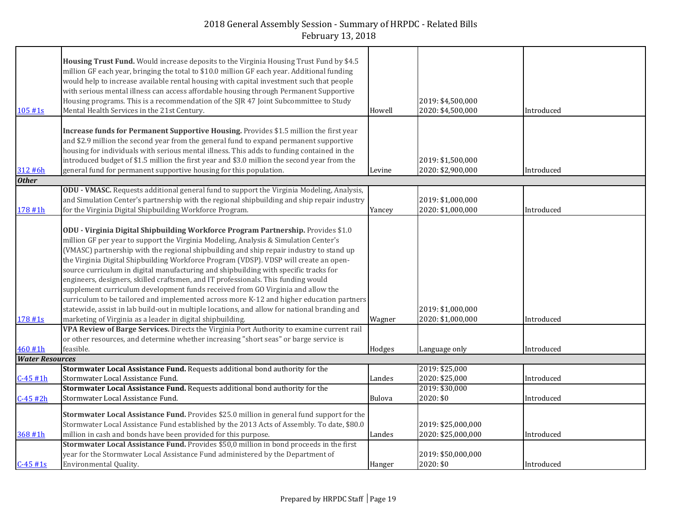| 105#1s                 | Housing Trust Fund. Would increase deposits to the Virginia Housing Trust Fund by \$4.5<br>million GF each year, bringing the total to \$10.0 million GF each year. Additional funding<br>would help to increase available rental housing with capital investment such that people<br>with serious mental illness can access affordable housing through Permanent Supportive<br>Housing programs. This is a recommendation of the SJR 47 Joint Subcommittee to Study<br>Mental Health Services in the 21st Century.                                                                                                                                                                                                                                                                                                                                                                      | Howell | 2019: \$4,500,000<br>2020: \$4,500,000   | Introduced |
|------------------------|------------------------------------------------------------------------------------------------------------------------------------------------------------------------------------------------------------------------------------------------------------------------------------------------------------------------------------------------------------------------------------------------------------------------------------------------------------------------------------------------------------------------------------------------------------------------------------------------------------------------------------------------------------------------------------------------------------------------------------------------------------------------------------------------------------------------------------------------------------------------------------------|--------|------------------------------------------|------------|
|                        | Increase funds for Permanent Supportive Housing. Provides \$1.5 million the first year<br>and \$2.9 million the second year from the general fund to expand permanent supportive<br>housing for individuals with serious mental illness. This adds to funding contained in the<br>introduced budget of \$1.5 million the first year and \$3.0 million the second year from the                                                                                                                                                                                                                                                                                                                                                                                                                                                                                                           |        | 2019: \$1,500,000                        |            |
| 312 #6h                | general fund for permanent supportive housing for this population.                                                                                                                                                                                                                                                                                                                                                                                                                                                                                                                                                                                                                                                                                                                                                                                                                       | Levine | 2020: \$2,900,000                        | Introduced |
| <b>Other</b>           |                                                                                                                                                                                                                                                                                                                                                                                                                                                                                                                                                                                                                                                                                                                                                                                                                                                                                          |        |                                          |            |
| 178 #1h                | ODU - VMASC. Requests additional general fund to support the Virginia Modeling, Analysis,<br>and Simulation Center's partnership with the regional shipbuilding and ship repair industry<br>for the Virginia Digital Shipbuilding Workforce Program.                                                                                                                                                                                                                                                                                                                                                                                                                                                                                                                                                                                                                                     | Yancey | 2019: \$1,000,000<br>2020: \$1,000,000   | Introduced |
| 178 #1s                | ODU - Virginia Digital Shipbuilding Workforce Program Partnership. Provides \$1.0<br>million GF per year to support the Virginia Modeling, Analysis & Simulation Center's<br>(VMASC) partnership with the regional shipbuilding and ship repair industry to stand up<br>the Virginia Digital Shipbuilding Workforce Program (VDSP). VDSP will create an open-<br>source curriculum in digital manufacturing and shipbuilding with specific tracks for<br>engineers, designers, skilled craftsmen, and IT professionals. This funding would<br>supplement curriculum development funds received from GO Virginia and allow the<br>curriculum to be tailored and implemented across more K-12 and higher education partners<br>statewide, assist in lab build-out in multiple locations, and allow for national branding and<br>marketing of Virginia as a leader in digital shipbuilding. | Wagner | 2019: \$1,000,000<br>2020: \$1,000,000   | Introduced |
|                        | VPA Review of Barge Services. Directs the Virginia Port Authority to examine current rail                                                                                                                                                                                                                                                                                                                                                                                                                                                                                                                                                                                                                                                                                                                                                                                                |        |                                          |            |
|                        | or other resources, and determine whether increasing "short seas" or barge service is                                                                                                                                                                                                                                                                                                                                                                                                                                                                                                                                                                                                                                                                                                                                                                                                    |        |                                          |            |
| 460 #1h                | feasible.                                                                                                                                                                                                                                                                                                                                                                                                                                                                                                                                                                                                                                                                                                                                                                                                                                                                                | Hodges | Language only                            | Introduced |
| <b>Water Resources</b> |                                                                                                                                                                                                                                                                                                                                                                                                                                                                                                                                                                                                                                                                                                                                                                                                                                                                                          |        |                                          |            |
|                        | Stormwater Local Assistance Fund. Requests additional bond authority for the                                                                                                                                                                                                                                                                                                                                                                                                                                                                                                                                                                                                                                                                                                                                                                                                             |        | 2019: \$25,000                           |            |
| $C - 45$ #1h           | Stormwater Local Assistance Fund.                                                                                                                                                                                                                                                                                                                                                                                                                                                                                                                                                                                                                                                                                                                                                                                                                                                        | Landes | 2020: \$25,000                           | Introduced |
|                        | Stormwater Local Assistance Fund. Requests additional bond authority for the                                                                                                                                                                                                                                                                                                                                                                                                                                                                                                                                                                                                                                                                                                                                                                                                             |        | 2019: \$30,000                           |            |
| $C-45#2h$              | Stormwater Local Assistance Fund.                                                                                                                                                                                                                                                                                                                                                                                                                                                                                                                                                                                                                                                                                                                                                                                                                                                        | Bulova | 2020: \$0                                | Introduced |
| 368 #1h                | Stormwater Local Assistance Fund. Provides \$25.0 million in general fund support for the<br>Stormwater Local Assistance Fund established by the 2013 Acts of Assembly. To date, \$80.0<br>million in cash and bonds have been provided for this purpose.                                                                                                                                                                                                                                                                                                                                                                                                                                                                                                                                                                                                                                | Landes | 2019: \$25,000,000<br>2020: \$25,000,000 | Introduced |
|                        | Stormwater Local Assistance Fund. Provides \$50,0 million in bond proceeds in the first                                                                                                                                                                                                                                                                                                                                                                                                                                                                                                                                                                                                                                                                                                                                                                                                  |        |                                          |            |
|                        | year for the Stormwater Local Assistance Fund administered by the Department of                                                                                                                                                                                                                                                                                                                                                                                                                                                                                                                                                                                                                                                                                                                                                                                                          |        | 2019: \$50,000,000                       |            |
| $C-45$ #1s             | Environmental Quality.                                                                                                                                                                                                                                                                                                                                                                                                                                                                                                                                                                                                                                                                                                                                                                                                                                                                   | Hanger | 2020: \$0                                | Introduced |